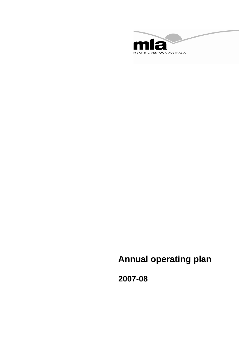

# **Annual operating plan**

**2007-08**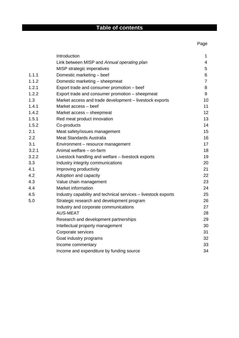## **Table of contents**

|       | Introduction                                                   | 1              |
|-------|----------------------------------------------------------------|----------------|
|       | Link between MISP and Annual operating plan                    | 4              |
|       | MISP strategic imperatives                                     | 5              |
| 1.1.1 | Domestic marketing - beef                                      | 6              |
| 1.1.2 | Domestic marketing - sheepmeat                                 | $\overline{7}$ |
| 1.2.1 | Export trade and consumer promotion - beef                     | 8              |
| 1.2.2 | Export trade and consumer promotion - sheepmeat                | 9              |
| 1.3   | Market access and trade development - livestock exports        | 10             |
| 1.4.1 | Market access - beef                                           | 11             |
| 1.4.2 | Market access - sheepmeat                                      | 12             |
| 1.5.1 | Red meat product innovation                                    | 13             |
| 1.5.2 | Co-products                                                    | 14             |
| 2.1   | Meat safety/issues management                                  | 15             |
| 2.2   | <b>Meat Standards Australia</b>                                | 16             |
| 3.1   | Environment - resource management                              | 17             |
| 3.2.1 | Animal welfare - on-farm                                       | 18             |
| 3.2.2 | Livestock handling and welfare - livestock exports             | 19             |
| 3.3   | Industry integrity communications                              | 20             |
| 4.1   | Improving productivity                                         | 21             |
| 4.2   | Adoption and capacity                                          | 22             |
| 4.3   | Value chain management                                         | 23             |
| 4.4   | Market information                                             | 24             |
| 4.5   | Industry capability and technical services - livestock exports | 25             |
| 5.0   | Strategic research and development program                     | 26             |
|       | Industry and corporate communications                          | 27             |
|       | <b>AUS-MEAT</b>                                                | 28             |
|       | Research and development partnerships                          | 29             |
|       | Intellectual property management                               | 30             |
|       | Corporate services                                             | 31             |
|       | Goat industry programs                                         | 32             |
|       | Income commentary                                              | 33             |
|       | Income and expenditure by funding source                       | 34             |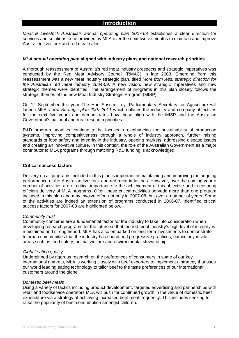#### **Introduction**

*Meat & Livestock Australia's annual operating plan 2007-08* establishes a clear direction for services and solutions to be provided by MLA over the next twelve months to maintain and improve Australian livestock and red meat sales.

#### *MLA annual operating plan* **aligned with industry plans and national research priorities**

A thorough reassessment of Australia's red meat industry prospects and strategic imperatives was conducted by the Red Meat Advisory Council (RMAC) in late 2003. Emerging from this reassessment was a new meat industry strategic plan, titled *More from less: strategic direction for the Australian red meat industry 2004-09*. A new vision, new strategic imperatives and new strategic themes were identified. The arrangement of programs in this plan closely follows the strategic themes of the new Meat Industry Strategic Program (MISP).

On 12 September this year The Hon Sussan Ley, Parliamentary Secretary for Agriculture will launch MLA's new *Strategic plan 2007-2011* which outlines the industry and company objectives for the next five years and demonstrates how these align with the MISP and the Australian Government's national and rural research priorities.

R&D program priorities continue to be focused on enhancing the sustainability of production systems, improving competitiveness through a whole of industry approach, further raising standards of food safety and integrity in the industry, opening markets, addressing disease issues and creating an innovative culture. In this context, the role of the Australian Government as a major contributor to MLA programs through matching R&D funding is acknowledged.

#### **Critical success factors**

Delivery on all programs included in this plan is important in maintaining and improving the ongoing performance of the Australian livestock and red meat industries. However, over the coming year a number of activities are of critical importance to the achievement of this objective and in ensuring efficient delivery of MLA programs. Often these critical activities pervade more than one program included in this plan and may involve effort not only in 2007-08, but over a number of years. Some of the activities are indeed an extension of programs conducted in 2006-07. Identified critical success factors for 2007-08 are highlighted below.

#### *Community trust*

Community concerns are a fundamental factor for the industry to take into consideration when developing research programs for the future so that the red meat industry's high level of integrity is maintained and strengthened. MLA has also embarked on long-term investments to demonstrate to urban communities that the industry has sound and progressive practices, particularly in vital areas such as food safety, animal welfare and environmental stewardship.

#### *Global eating quality*

Underpinned by rigorous research on the preferences of consumers in some of our key international markets, MLA is working closely with beef exporters to implement a strategy that uses our world leading eating technology to tailor beef to the taste preferences of our international customers around the globe.

#### *Domestic beef meals*

Using a variety of tactics including product development, targeted advertising and partnerships with retail and foodservice operators MLA will push for continued growth in the value of domestic beef expenditure via a strategy of achieving increased beef meal frequency. This includes seeking to raise the popularity of beef consumption amongst children.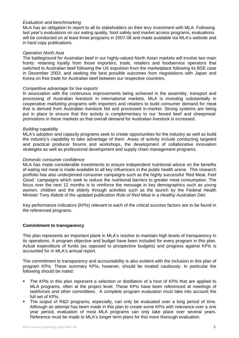#### *Evaluation and benchmarking*

MLA has an obligation to report to all its stakeholders on their levy investment with MLA. Following last year's evaluations on our eating quality, food safety and market access programs, evaluations will be conducted on at least three programs in 2007-08 and made available via MLA's website and in hard copy publications.

#### *Operation North Asia*

The battleground for Australian beef in our highly-valued North Asian markets will involve two main fronts: retaining loyalty from those importers, trade, retailers and foodservice operators that switched to Australian beef following the US expulsion from the marketplace following its BSE case in December 2003; and seeking the best possible outcomes from negotiations with Japan and Korea on free trade for Australian beef between our respective countries.

#### *Competitive advantage for live exports*

In association with the continuous improvements being achieved in the assembly, transport and processing of Australian livestock in international markets, MLA is investing substantially in cooperative marketing programs with importers and retailers to build consumer demand for meat that is derived from Australian livestock fed and processed in-market. Strong systems are being put in place to ensure that this activity is complementary to our 'boxed beef and sheepmeat' promotions in these markets so that overall demand for Australian livestock is increased.

#### *Building capability*

MLA's adoption and capacity programs seek to create opportunities for the industry as well as build the industry's capability to take advantage of them. Areas of activity include conducting targeted and practical producer forums and workshops, the development of collaborative innovation strategies as well as professional development and supply chain management programs.

#### *Domestic consumer confidence*

MLA has made considerable investments to ensure independent nutritional advice on the benefits of eating red meat is made available to all key influencers in the public health arena. This research portfolio has also underpinned consumer campaigns such as the highly successful 'Red Meat. Feel Good.' campaigns which seek to reduce the nutritional barriers to greater meat consumption. The focus over the next 12 months is to reinforce the message in key demographics such as young women, children and the elderly through activities such as the launch by the Federal Health Minister Tony Abbott of the updated publication *Role of Red Meat in a Healthy Australian Diet*.

Key performance indicators (KPIs) relevant to each of the critical success factors are to be found in the referenced programs.

#### **Commitment to transparency**

This plan represents an important plank in MLA's resolve to maintain high levels of transparency in its operations. A program objective and budget have been included for every program in this plan. Actual expenditure of funds (as opposed to prospective budgets) and progress against KPIs is accounted for in MLA's annual report.

The commitment to transparency and accountability is also evident with the inclusion in this plan of program KPIs. These summary KPIs, however, should be treated cautiously. In particular the following should be noted:

- The KPIs in this plan represent a selection or distillation of a host of KPIs that are applied to MLA programs, often at the project level. These KPIs have been referenced at meetings of taskforces and other committees. A complete program evaluation must take into account the full set of KPIs.
- The output of R&D programs, especially, can only be evaluated over a long period of time. Although an attempt has been made in this plan to create some KPIs with relevance over a one year period, evaluation of most MLA programs can only take place over several years. Reference must be made to MLA's longer term plans for this more thorough evaluation.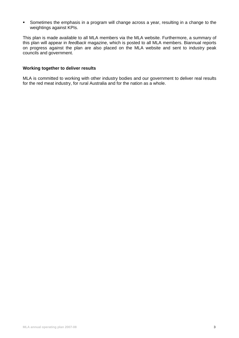Sometimes the emphasis in a program will change across a year, resulting in a change to the weightings against KPIs.

This plan is made available to all MLA members via the MLA website. Furthermore, a summary of this plan will appear in *feedback* magazine, which is posted to all MLA members. Biannual reports on progress against the plan are also placed on the MLA website and sent to industry peak councils and government.

#### **Working together to deliver results**

MLA is committed to working with other industry bodies and our government to deliver real results for the red meat industry, for rural Australia and for the nation as a whole.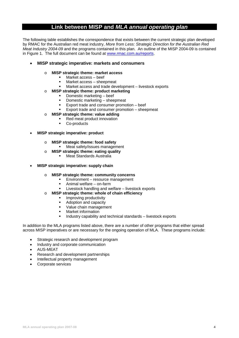### **Link between MISP and** *MLA annual operating plan*

The following table establishes the correspondence that exists between the current strategic plan developed by RMAC for the Australian red meat industry, *More from Less: Strategic Direction for the Australian Red Meat Industry 2004-09* and the programs contained in this plan. An outline of the MISP 2004-09 is contained in Figure 1. The full document can be found at www.rmac.com.au/reports.

#### • **MISP strategic imperative: markets and consumers**

#### o **MISP strategic theme: market access**

- $Market access beef$ <br> $Market access shape$
- Market access sheepmeat
- Market access and trade development livestock exports

#### o **MISP strategic theme: product marketing**

- Domestic marketing beef
- **Domestic marketing sheepmeat**
- **Export trade and consumer promotion beef**
- Export trade and consumer promotion sheepmeat
- o **MISP strategic theme: value adding** 
	- Red meat product innovation
	- **Co-products**
- **MISP strategic imperative: product** 
	- o **MISP strategic theme: food safety** 
		- **Meat safety/issues management**
	- o **MISP strategic theme: eating quality** 
		- Meat Standards Australia
- **MISP strategic imperative: supply chain** 
	- o **MISP strategic theme: community concerns** 
		- **Environment resource management**
		- Animal welfare on-farm
		- **EXECUTE:** Livestock handling and welfare livestock exports
	- o **MISP strategic theme: whole of chain efficiency** 
		- **Improving productivity**
		- **Adoption and capacity**
		- Value chain management
		- **•** Market information
		- Industry capability and technical standards livestock exports

In addition to the MLA programs listed above, there are a number of other programs that either spread across MISP imperatives or are necessary for the ongoing operation of MLA. These programs include:

- Strategic research and development program
- Industry and corporate communication
- AUS-MEAT
- Research and development partnerships
- Intellectual property management
- Corporate services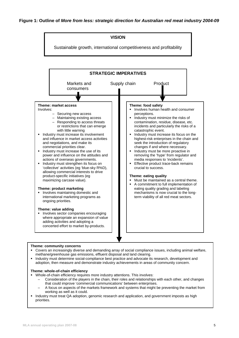

#### **Theme: community concerns**

- Covers an increasingly diverse and demanding array of social compliance issues, including animal welfare, methane/greenhouse gas emissions, effluent disposal and land clearing.
- Industry must determine social-compliance best practice and advocate its research, development and adoption, then measure and demonstrate industry achievements in areas of community concern.

#### **Theme: whole-of-chain efficiency**

- Whole-of-chain efficiency requires more industry attentions. This involves:
	- Consideration of the players in the chain, their roles and relationships with each other, and changes that could improve 'commercial communications' between enterprises.
	- A focus on aspects of the markets framework and systems that might be preventing the market from working as well as it could.
- Industry must treat QA adoption, genomic research and application, and government imposts as high priorities.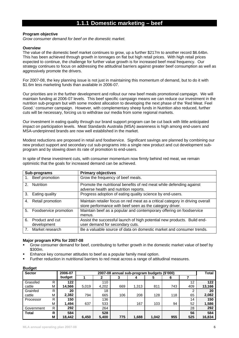### **1.1.1 Domestic marketing – beef**

#### **Program objective**

*Grow consumer demand for beef on the domestic market.* 

#### **Overview**

The value of the domestic beef market continues to grow, up a further \$217m to another record \$6.64bn. This has been achieved through growth in tonnages on flat but high retail prices. With high retail prices expected to continue, the challenge for further value growth is for increased beef meal frequency. Our strategy continues to focus on addressing the attitudinal barriers against greater beef consumption as well as aggressively promote the drivers.

For 2007-08, the key planning issue is not just in maintaining this momentum of demand, but to do it with \$1.6m less marketing funds than available in 2006-07.

Our priorities are in the further development and rollout our new beef meals promotional campaign. We will maintain funding at 2006-07 levels. This beef specific campaign means we can reduce our investment in the nutrition sub-program but with some modest allocation to developing the next phase of the 'Red Meat. Feel Good.' consumer campaign. However, with complementary sheep funds in Nutrition also reduced, further cuts will be necessary, forcing us to withdraw our media from some regional markets.

Our investment in eating quality through our brand support program can be cut back with little anticipated impact on participation levels. Meat Standards Australia (MSA) awareness is high among end-users and MSA-underpinned brands are now well established in the market.

Modest reductions are proposed in retail and foodservice. Significant savings are planned by combining our new product support and secondary cut sub-programs into a single new product and cut development subprogram and by slowing down its rate of promotion to end-users.

|               | Sub-programs                   | <b>Primary objectives</b>                                                                                                                 |
|---------------|--------------------------------|-------------------------------------------------------------------------------------------------------------------------------------------|
|               | 1. Beef promotion              | Grow the frequency of beef meals.                                                                                                         |
| $\mathcal{P}$ | <b>Nutrition</b>               | Promote the nutritional benefits of red meat while defending against<br>adverse health and nutrition reports.                             |
|               | 3. Eating quality              | Progress adoption of eating quality science by end-users.                                                                                 |
| 4.            | Retail promotion               | Maintain retailer focus on red meat as a critical category in driving overall<br>store performance with beef seen as the category driver. |
| 5.            | Foodservice promotion          | Maintain beef as a popular and contemporary offering on foodservice<br>menus.                                                             |
| 6.            | Product and cut<br>development | Assist the successful launch of high potential new products. Build end-<br>user demand for secondary cuts.                                |
|               | Market research                | Be a valuable source of data on domestic market and consumer trends.                                                                      |

In spite of these investment cuts, with consumer momentum now firmly behind red meat, we remain optimistic that the goals for increased demand can be achieved.

#### **Major program KPIs for 2007-08**

- Grow consumer demand for beef, contributing to further growth in the domestic market value of beef by \$300m.
- Enhance key consumer attitudes to beef as a popular family meal option.
- Further reduction in nutritional barriers to red meat across a range of attitudinal measures.

| <b>Sector</b> |   | 2006-07 | 2007-08 annual sub-program budgets (\$'000) |       |     |       |       |     |     |        |
|---------------|---|---------|---------------------------------------------|-------|-----|-------|-------|-----|-----|--------|
|               |   | budget  |                                             |       | J.  | 4     | 5     | 6   |     |        |
| Grassfed      | R | 122     |                                             | 110   |     |       |       |     | 12  | 122    |
| cattle        | М | 14.566  | 5.019                                       | 4,202 | 669 | 1.313 | 811   | 743 | 409 | 13,166 |
| Grainfed      | R | 20      |                                             | 18    |     |       |       |     | 2   | 20     |
| cattle        | М | 2,382   | 794                                         | 665   | 106 | 208   | 128   | 118 | 65  | 2,082  |
| Processor     | R | 150     |                                             | 136   |     |       |       |     | 14  | 150    |
|               | М | 1,494   | 637                                         | 533   |     | 167   | 103   | 94  | 52  | 1,586  |
| Government    | R | 292     |                                             | 264   |     |       |       |     | 28  | 292    |
| <b>Total</b>  | R | 584     |                                             | 528   |     |       |       |     | 56  | 584    |
|               | М | 18.442  | 6.450                                       | 5,400 | 775 | 1,688 | 1.042 | 955 | 525 | 16,834 |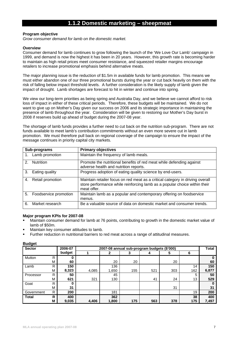### **1.1.2 Domestic marketing – sheepmeat**

#### **Program objective**

*Grow consumer demand for lamb on the domestic market.* 

#### **Overview**

Consumer demand for lamb continues to grow following the launch of the 'We Love Our Lamb' campaign in 1999, and demand is now the highest it has been in 20 years. However, this growth rate is becoming harder to maintain as high retail prices meet consumer resistance, and squeezed retailer margins encourage retailers to increase promotional emphasis behind alternative meats.

The major planning issue is the reduction of \$1.5m in available funds for lamb promotion. This means we must either abandon one of our three promotional bursts during the year or cut back heavily on them with the risk of falling below impact threshold levels. A further consideration is the likely supply of lamb given the impact of drought. Lamb shortages are forecast to hit in winter and continue into spring.

We view our long-term priorities as being spring and Australia Day, and we believe we cannot afford to risk loss of impact in either of these critical periods. Therefore, these budgets will be maintained. We do not want to give up on Mother's Day given our success on 2006 and its strategic importance in maintaining the presence of lamb throughout the year. Consideration will be given to restoring our Mother's Day burst in 2008 if reserves build up ahead of budget during the 2007-08 year.

The shortage of lamb funds provides a further need to cut back on the nutrition sub-program. There are not funds available to meet lamb's contribution commitments without an even more severe cut in lamb promotion. We must therefore pull back on regional coverage of the campaign to ensure the impact of the message continues in priority capital city markets.

|               | Sub-programs          | <b>Primary objectives</b>                                                                                                                                                 |
|---------------|-----------------------|---------------------------------------------------------------------------------------------------------------------------------------------------------------------------|
|               | 1. Lamb promotion     | Maintain the frequency of lamb meals.                                                                                                                                     |
| $\mathcal{P}$ | <b>Nutrition</b>      | Promote the nutritional benefits of red meat while defending against<br>adverse health and nutrition reports.                                                             |
| 3.            | Eating quality        | Progress adoption of eating quality science by end-users.                                                                                                                 |
|               | 4. Retail promotion   | Maintain retailer focus on red meat as a critical category in driving overall<br>store performance while reinforcing lamb as a popular choice within their<br>meat offer. |
| 5.            | Foodservice promotion | Maintain lamb as a popular and contemporary offering on foodservice<br>menus.                                                                                             |
| 6.            | Market research       | Be a valuable source of data on domestic market and consumer trends.                                                                                                      |

#### **Major program KPIs for 2007-08**

- Maintain consumer demand for lamb at 76 points, contributing to growth in the domestic market value of lamb of \$50m.
- Maintain key consumer attitudes to lamb.
- Further reduction in nutritional barriers to red meat across a range of attitudinal measures.

| <b>Sector</b> |   | 2006-07 |       | 2007-08 annual sub-program budgets (\$'000) |     |     |     |     |       |  |  |
|---------------|---|---------|-------|---------------------------------------------|-----|-----|-----|-----|-------|--|--|
|               |   | budget  |       | 2                                           |     |     | 5   | 6   |       |  |  |
| Mutton        | R |         |       |                                             |     |     |     |     |       |  |  |
|               | М | 60      |       | 20                                          | 20  |     | 20  |     | 60    |  |  |
| Lamb          | R | 150     |       | 136                                         |     |     |     | 14  | 150   |  |  |
|               | М | 8,323   | 4,085 | 1,650                                       | 155 | 521 | 303 | 162 | 6,877 |  |  |
| Processor     | R | 50      |       | 45                                          |     |     |     | 5   | 50    |  |  |
|               | м | 621     | 321   | 130                                         |     | 41  | 24  | 13  | 529   |  |  |
| Goat          | R | 0       |       |                                             |     |     |     |     |       |  |  |
|               | M | 31      |       |                                             |     |     | 31  |     | 31    |  |  |
| Government    | R | 200     |       | 181                                         |     |     |     | 19  | 200   |  |  |
| Total         | R | 400     |       | 362                                         |     |     |     | 38  | 400   |  |  |
|               | М | 9,035   | 4,406 | 1,800                                       | 175 | 563 | 378 | 175 | 7,497 |  |  |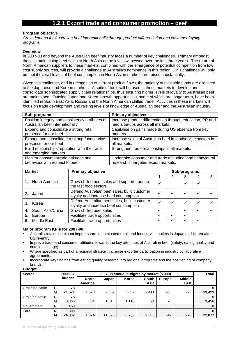### **1.2.1 Export trade and consumer promotion – beef**

#### **Program objective**

*Grow demand for Australian beef internationally through product differentiation and customer loyalty programs.* 

#### **Overview**

In 2007-08 and beyond the Australian beef industry faces a number of key challenges. Primary amongst these is maintaining beef sales to North Asia at the levels witnessed over the last three years. The return of North American suppliers to these markets, combined with the emergence of potential competition from low cost supply sources, will provide a challenge to Australia's dominance in this region. This challenge will only be met if overall levels of beef consumption in North Asian markets are raised substantially.

Given this challenge, and in recognition of current product flows, the majority of available funds are allocated to the Japanese and Korean markets. A suite of tools will be used in these markets to develop and consolidate sophisticated supply chain relationships, thus ensuring higher levels of loyalty to Australian beef are maintained. Outside Japan and Korea, growth opportunities, some of which are longer term, have been identified in South East Asia, Russia and the North American chilled trade. Activities in these markets will focus on trade development and raising levels of knowledge of Australian beef and the Australian industry.

| Sub-programs                                                                        | <b>Primary objectives</b>                                                                       |
|-------------------------------------------------------------------------------------|-------------------------------------------------------------------------------------------------|
| Position integrity and consistency attributes of<br>Australian beef internationally | Increase product differentiation through education, PR and<br>media tie-ups across all markets. |
|                                                                                     |                                                                                                 |
| Expand and consolidate a strong retail                                              | Capitalise on gains made during US absence from key                                             |
| presence for our beef                                                               | markets.                                                                                        |
| Expand and consolidate a strong foodservice                                         | Increase sales of Australian beef in foodservice sectors in                                     |
| presence for our beef                                                               | all markets.                                                                                    |
| Build relationships/reputation with the trade                                       | Strengthen trade relationships in all markets.                                                  |
| and emerging markets                                                                |                                                                                                 |
| Monitor consumer/trade attitudes and                                                | Undertake consumer and trade attitudinal and behavioural                                        |
| behaviour with respect to beef.                                                     | research in targeted export markets.                                                            |

| <b>Market</b> |                    | <b>Primary objective</b>                                                              | Sub-programs |  |   |  |   |  |  |
|---------------|--------------------|---------------------------------------------------------------------------------------|--------------|--|---|--|---|--|--|
|               |                    |                                                                                       |              |  | 3 |  | 5 |  |  |
|               | North America      | Grow chilled beef sales and support trade to<br>the fast food sectors                 |              |  |   |  |   |  |  |
|               | Japan              | Defend Australian beef sales, build customer<br>loyalty and increase beef consumption | ✓            |  | ✓ |  |   |  |  |
| 3.            | Korea              | Defend Australian beef sales, build customer<br>loyalty and increase beef consumption |              |  |   |  |   |  |  |
| 4.            | South Asia/China   | Grow chilled beef sales                                                               |              |  |   |  |   |  |  |
| 5.            | Europe             | Facilitate trade opportunities                                                        |              |  |   |  |   |  |  |
| 6.            | <b>Middle East</b> | Facilitate trade opportunities                                                        |              |  |   |  |   |  |  |

#### **Major program KPIs for 2007-08**

- Australia retains dominant import share in nominated retail and foodservice outlets in Japan and Korea after US re-entry.
- Improve trade and consumer attitudes towards the key attributes of Australian beef (safety, eating quality and nutritious image).
- Where specified as part of a regional strategy, increase exporter participation in industry collaborative agreements.
- Incorporate key findings from eating quality research into regional programs and the positioning of company brands.

| <b>Sector</b>   |   | 2006-07 |                         | <b>Total</b> |       |                      |               |                       |        |
|-----------------|---|---------|-------------------------|--------------|-------|----------------------|---------------|-----------------------|--------|
|                 |   | budget  | <b>North</b><br>America | Japan        | Korea | <b>South</b><br>Asia | <b>Europe</b> | <b>Middle</b><br>East |        |
| Grassfed cattle | R | 75      |                         |              |       |                      |               |                       |        |
|                 | м | 21.521  | 1.020                   | 9,809        | 5,637 | 2,411                | 266           | 278                   | 19,421 |
| Grainfed cattle | R | 75      |                         |              |       |                      |               |                       |        |
|                 | M | 3,366   | 354                     | 1.816        | 1.116 | 94                   | 76            |                       | 3,456  |
| Government      | R | 150     |                         |              |       |                      |               |                       |        |
| Total           | R | 300     |                         |              |       |                      |               |                       |        |
|                 | М | 24,887  | 1.374                   | 11,625       | 6,753 | 2,505                | 342           | 278                   | 22,877 |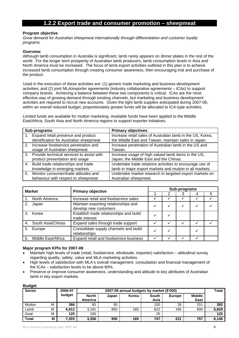### **1.2.2 Export trade and consumer promotion – sheepmeat**

#### **Program objective**

*Grow demand for Australian sheepmeat internationally through differentiation and customer loyalty programs.* 

#### **Overview**

Although lamb consumption in Australia is significant, lamb rarely appears on dinner plates in the rest of the world. For the longer term prosperity of Australian lamb producers, lamb consumption levels in Asia and North America must be increased. The focus of lamb export activities outlined in this plan is to achieve increased lamb consumption through creating consumer awareness, then encouraging trial and purchase of the product.

Used in the execution of these activities are: (1) generic trade marketing and business development activities; and (2) joint MLA/exporter agreements (industry collaborative agreements – ICAs) to support company brands. Achieving a balance between these two components is critical. ICAs are the most effective way of growing demand through existing channels, but marketing and business development activities are required to recruit new accounts. Given the tight lamb supplies anticipated during 2007-08, within an overall reduced budget, proportionately greater funds will be allocated to ICA-type activities.

Limited funds are available for mutton marketing. Available funds have been applied to the Middle East/Africa, South Asia and North America regions to support exporter initiatives.

| Sub-programs                                 | <b>Primary objectives</b>                                  |
|----------------------------------------------|------------------------------------------------------------|
| 1. Expand retail presence and product        | Increase retail sales of Australian lamb in the US, Korea, |
| identification for Australian sheepmeat      | the Middle East and Taiwan, maintain sales in Japan.       |
| 2. Increase foodservice penetration and      | Increase penetration of Australian lamb in the US and      |
| usage of Australian sheepmeat                | Taiwan.                                                    |
| 3. Provide technical services to assist with | Increase usage of high valued lamb items in the US,        |
| product presentation and usage               | Japan, the Middle East and the Chinas.                     |
| 4. Build trade relationships and trade       | Undertake trade relations activities to encourage use of   |
| knowledge in emerging markets                | lamb in major export markets and mutton in all markets.    |
| 5. Monitor consumer/trade attitudes and      | Undertake market research in targeted export markets on    |
| behaviour with respect to sheepmeat          | Australian sheepmeat.                                      |

| <b>Market</b> |                      | <b>Primary objective</b>                                      | Sub-programs |   |  |   |   |  |  |  |
|---------------|----------------------|---------------------------------------------------------------|--------------|---|--|---|---|--|--|--|
|               |                      |                                                               |              | ⌒ |  |   | 5 |  |  |  |
|               | North America        | Increase retail and foodservice sales                         |              |   |  |   |   |  |  |  |
| 2.            | Japan                | Maintain exporting relationships and<br>develop new customers | √            |   |  | √ |   |  |  |  |
| $\mathcal{S}$ | Korea                | Establish trade relationships and build<br>trade interest     | √            |   |  |   |   |  |  |  |
|               | 4. South Asia/Chinas | Expand sales through trade support                            |              |   |  |   |   |  |  |  |
| 5.            | Europe               | Consolidate supply channels and build<br>relationships        | √            |   |  |   |   |  |  |  |
| 6.            | Middle East/Africa   | Expand retail and foodservice business                        |              |   |  |   |   |  |  |  |

#### **Major program KPIs for 2007-08**

- Maintain high levels of trade (retail, foodservice, wholesale, importer) satisfaction attitudinal survey regarding quality, safety, value and MLA marketing activities.
- High levels of satisfaction with MLA's overall management, consultation and financial management of the ICAs – satisfaction levels to be above 80%.
- Preserve or improve consumer awareness, understanding and attitude to key attributes of Australian lamb in key export markets.

| ----          |   |         |                                           |       |       |               |               |                       |       |
|---------------|---|---------|-------------------------------------------|-------|-------|---------------|---------------|-----------------------|-------|
| <b>Sector</b> |   | 2006-07 | 2007-08 annual budgets by market (\$'000) |       |       |               |               |                       |       |
|               |   | budget  | <b>North</b><br>America                   | Japan | Korea | South<br>Asia | <b>Europe</b> | <b>Middle</b><br>East |       |
| Mutton        | M | 366     | 65                                        | 50    |       | 100           | 26            | 151                   | 392   |
| Lamb          | М | 6.812   | 3.191                                     | 850   | 165   | 622           | 195           | 606                   | 5,629 |
| Goat          | M | 125     | 100                                       |       |       | 25            |               |                       | 125   |
| <b>Total</b>  | M | 7,303   | 3,356                                     | 900   | 165   | 747           | 221           | 757                   | 6,146 |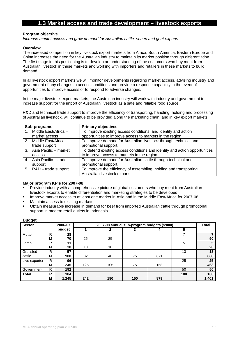### **1.3 Market access and trade development – livestock exports**

#### **Program objective**

*Increase market access and grow demand for Australian cattle, sheep and goat exports.* 

#### **Overview**

The increased competition in key livestock export markets from Africa, South America, Eastern Europe and China increases the need for the Australian industry to maintain its market position through differentiation. The first stage in this positioning is to develop an understanding of the customers who buy meat from Australian livestock in these markets and working with importers and retailers in these markets to build demand.

In all livestock export markets we will monitor developments regarding market access, advising industry and government of any changes to access conditions and provide a response capability in the event of opportunities to improve access or to respond to adverse changes.

In the major livestock export markets, the Australian industry will work with industry and government to increase support for the import of Australian livestock as a safe and reliable food source.

R&D and technical trade support to improve the efficiency of transporting, handling, holding and processing of Australian livestock, will continue to be provided along the marketing chain, and in key export markets.

| Sub-programs             | <b>Primary objectives</b>                                                  |
|--------------------------|----------------------------------------------------------------------------|
| Middle East/Africa -     | To improve existing access conditions, and identify and action             |
| market access            | opportunities to improve access to markets in the region.                  |
| 2. Middle East/Africa -  | To improve demand for Australian livestock through technical and           |
| trade support            | promotional support.                                                       |
| 3. Asia Pacific - market | To defend existing access conditions and identify and action opportunities |
| access                   | to improve access to markets in the region.                                |
| 4. Asia Pacific – trade  | To improve demand for Australian cattle through technical and              |
| support                  | promotional support.                                                       |
| 5. R&D - trade support   | To improve the efficiency of assembling, holding and transporting          |
|                          | Australian livestock exports.                                              |

#### **Major program KPIs for 2007-08**

- Provide industry with a comprehensive picture of global customers who buy meat from Australian livestock exports to enable differentiation and marketing strategies to be developed.
- **IMPROVE MARKET ACCESS TO AT LEAST ONE MARKET IN ASIA AND IN ASSET ASSET IN A 1900 THANKET ASSET IN A 1900** T-08.
- Maintain access to existing markets.
- Obtain measurable increase in demand for beef from imported Australian cattle through promotional support in modern retail outlets in Indonesia.

| nanacı        |   |         |                                             |              |     |     |     |       |  |  |
|---------------|---|---------|---------------------------------------------|--------------|-----|-----|-----|-------|--|--|
| <b>Sector</b> |   | 2006-07 | 2007-08 annual sub-program budgets (\$'000) |              |     |     |     |       |  |  |
|               |   | budget  |                                             | $\mathbf{2}$ |     |     | 5   |       |  |  |
| Mutton        | R | 28      |                                             |              |     |     |     |       |  |  |
|               | M | 70      | 25                                          | 25           |     |     |     | 50    |  |  |
| Lamb          | R | 11      |                                             |              |     |     | 5   |       |  |  |
|               | M | 30      | 10                                          | 10           |     |     |     | 20    |  |  |
| Grassfed      | R | 57      |                                             |              |     |     | 13  | 13    |  |  |
| cattle        | M | 900     | 82                                          | 40           | 75  | 671 |     | 868   |  |  |
| Live exporter | R | 96      |                                             |              |     |     | 25  | 25    |  |  |
|               | M | 245     | 125                                         | 105          | 75  | 158 |     | 463   |  |  |
| Government    | R | 192     |                                             |              |     |     | 50  | 50    |  |  |
| <b>Total</b>  | R | 384     |                                             |              |     |     | 100 | 100   |  |  |
|               | M | 1,245   | 242                                         | 180          | 150 | 879 |     | 1,401 |  |  |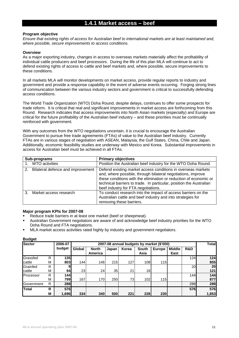### **1.4.1 Market access – beef**

#### **Program objective**

*Ensure that existing rights of access for Australian beef to international markets are at least maintained and, where possible, secure improvements to access conditions.* 

#### **Overview**

As a major exporting industry, changes in access to overseas markets materially affect the profitability of individual cattle producers and beef processors. During the life of this plan MLA will continue to act to defend existing rights of access to cattle and beef markets and, where possible, secure improvements to these conditions.

In all markets MLA will monitor developments on market access, provide regular reports to industry and government and provide a response capability in the event of adverse events occurring. Forging strong lines of communication between the various industry sectors and government is critical to successfully defending access conditions.

The World Trade Organization (WTO) Doha Round, despite delays, continues to offer some prospects for trade reform. It is critical that real and significant improvements in market access are forthcoming from this Round. Research indicates that access improvements into North Asian markets (especially) and Europe are critical for the future profitability of the Australian beef industry – and these priorities must be continually reinforced with government.

With any outcomes from the WTO negotiations uncertain, it is crucial to encourage the Australian Government to pursue free trade agreements (FTAs) of value to the Australian beef industry. Currently FTAs are in various stages of negotiation with ASEAN, Malaysia, the Gulf States, China, Chile and Japan. Additionally, economic feasibility studies are underway with Mexico and Korea. Substantial improvements in access for Australian beef must be achieved in all FTAs.

| Sub-programs                         | <b>Primary objectives</b>                                                                                                                                                                                                                                                                                       |  |  |  |  |
|--------------------------------------|-----------------------------------------------------------------------------------------------------------------------------------------------------------------------------------------------------------------------------------------------------------------------------------------------------------------|--|--|--|--|
| 1. WTO activities                    | Position the Australian beef industry for the WTO Doha Round.                                                                                                                                                                                                                                                   |  |  |  |  |
| 2. Bilateral defence and improvement | Defend existing market access conditions in overseas markets<br>and, where possible, through bilateral negotiations, improve<br>these conditions with the elimination or reduction of economic or<br>technical barriers to trade. In particular, position the Australian<br>beef industry for FTA negotiations. |  |  |  |  |
| Market access research               | To conduct research into the impact of access barriers on the<br>Australian cattle and beef industry and into strategies for<br>removing these barriers.                                                                                                                                                        |  |  |  |  |

#### **Major program KPIs for 2007-08**

- Reduce trade barriers in at least one market (beef or sheepmeat).
- Australian Government negotiators are aware of and acknowledge beef industry priorities for the WTO Doha Round and FTA negotiations.
- MLA market access activities rated highly by industry and government negotiators.

| <b>Sector</b> |   | 2006-07    | 2007-08 annual budgets by market (\$'000) |                         |       |       |                      |               |                       |                 | <b>Total</b> |
|---------------|---|------------|-------------------------------------------|-------------------------|-------|-------|----------------------|---------------|-----------------------|-----------------|--------------|
|               |   | budget     | Global                                    | <b>North</b><br>America | Japan | Korea | <b>South</b><br>Asia | <b>Europe</b> | <b>Middle</b><br>East | R&D             |              |
| Grassfed      | R | 135        |                                           |                         |       |       |                      |               |                       | 124             | 124          |
| cattle        | М | 803        | 144                                       | 146                     | 215   | 127   | 108                  | 115           |                       |                 | 855          |
| Grainfed      | R | 9          |                                           |                         |       |       |                      |               |                       | 20 <sub>l</sub> | 20           |
| cattle        | M | 94         | 23                                        | 24                      | 35    | 21    | 18                   |               |                       |                 | 121          |
| Processor     | R | <b>144</b> |                                           |                         |       |       |                      |               |                       | 144             | 144          |
|               | M | 7991       | 167                                       | 170                     | 250   | 73    | 102                  | 115           |                       |                 | 877          |
| Government    | R | 288        |                                           |                         |       |       |                      |               |                       | 288             | 288          |
| Total         | R | 576        |                                           |                         |       |       |                      |               |                       | 576I            | 576          |
|               | M | 1,696      | 334                                       | 340                     | 500   | 221   | 228                  | 230           |                       |                 | 1,853        |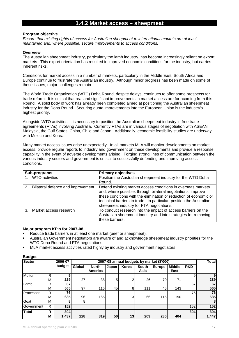### **1.4.2 Market access – sheepmeat**

#### **Program objective**

*Ensure that existing rights of access for Australian sheepmeat to international markets are at least maintained and, where possible, secure improvements to access conditions.* 

#### **Overview**

The Australian sheepmeat industry, particularly the lamb industry, has become increasingly reliant on export markets. This export orientation has resulted in improved economic conditions for the industry, but carries inherent risks.

Conditions for market access in a number of markets, particularly in the Middle East, South Africa and Europe continue to frustrate the Australian industry. Although minor progress has been made on some of these issues, major challenges remain.

The World Trade Organization (WTO) Doha Round, despite delays, continues to offer some prospects for trade reform. It is critical that real and significant improvements in market access are forthcoming from this Round. A solid body of work has already been completed aimed at positioning the Australian sheepmeat industry for the Doha Round. Securing quota improvements into the European Union is the industry's highest priority.

Alongside WTO activities, it is necessary to position the Australian sheepmeat industry in free trade agreements (FTAs) involving Australia. Currently FTAs are in various stages of negotiation with ASEAN, Malaysia, the Gulf States, China, Chile and Japan. Additionally, economic feasibility studies are underway with Mexico and Korea.

Many market access issues arise unexpectedly. In all markets MLA will monitor developments on market access, provide regular reports to industry and government on these developments and provide a response capability in the event of adverse developments arising. Forging strong lines of communication between the various industry sectors and government is critical to successfully defending and improving access conditions.

| Sub-programs                            | <b>Primary objectives</b>                                                                                                                                                                                                                                                                                            |
|-----------------------------------------|----------------------------------------------------------------------------------------------------------------------------------------------------------------------------------------------------------------------------------------------------------------------------------------------------------------------|
| 1. WTO activities                       | Position the Australian sheepmeat industry for the WTO Doha                                                                                                                                                                                                                                                          |
|                                         | Round.                                                                                                                                                                                                                                                                                                               |
| Bilateral defence and improvement<br>2. | Defend existing market access conditions in overseas markets<br>and, where possible, through bilateral negotiations, improve<br>these conditions with the elimination or reduction of economic or<br>technical barriers to trade. In particular, position the Australian<br>sheepmeat industry for FTA negotiations. |
| Market access research                  | To conduct research into the impact of access barriers on the<br>Australian sheepmeat industry and into strategies for removing<br>these barriers.                                                                                                                                                                   |

#### **Major program KPIs for 2007-08**

- Reduce trade barriers in at least one market (beef or sheepmeat).
- Australian Government negotiators are aware of and acknowledge sheepmeat industry priorities for the WTO Doha Round and FTA negotiations.
- MLA market access activities rated highly by industry and government negotiators.

| <b>Sector</b> |   | 2006-07    |        |                         |       | 2007-08 annual budgets by market (\$'000) |                      |               |                       |     | <b>Total</b> |
|---------------|---|------------|--------|-------------------------|-------|-------------------------------------------|----------------------|---------------|-----------------------|-----|--------------|
|               |   | budget     | Global | <b>North</b><br>America | Japan | Korea                                     | <b>South</b><br>Asia | <b>Europe</b> | <b>Middle</b><br>East | R&D |              |
| <b>Mutton</b> | R | 9          |        |                         |       |                                           |                      |               |                       | 9   | 91           |
|               | M | 229        | 27     | 38                      | 5     | 2                                         | 26                   | 70            | 71                    |     | 239          |
| Lamb          | R | 67         |        |                         |       |                                           |                      |               |                       | 67  | 67           |
|               | M | <b>565</b> | 97     | 116                     | 45    | 8                                         | 111                  | 45            | 143                   |     | 565          |
| Processor     | R | 76I        |        |                         |       |                                           |                      |               |                       | 76  | 76           |
|               | M | 635        | 96     | 165                     |       | 3                                         | 66                   | 115           | 190                   |     | 635          |
| Goat          | M | 81         | 8      |                         |       |                                           |                      |               |                       |     | 8            |
| Government    | R | 152        |        |                         |       |                                           |                      |               |                       | 152 | 152          |
| <b>Total</b>  | R | 304        |        |                         |       |                                           |                      |               |                       | 304 | 304          |
|               | M | 1,437      | 228    | 319                     | 50    | 13                                        | 203                  | 230           | 404                   |     | 1,447        |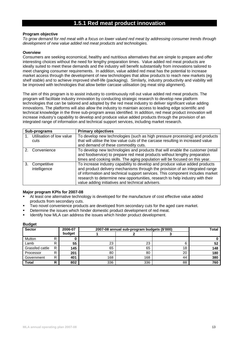### **1.5.1 Red meat product innovation**

#### **Program objective**

*To grow demand for red meat with a focus on lower valued red meat by addressing consumer trends through development of new value added red meat products and technologies.* 

#### **Overview**

Consumers are seeking economical, healthy and nutritious alternatives that are simple to prepare and offer interesting choices without the need for lengthy preparation times. Value added red meat products are ideally suited to meet these demands and the industry will benefit substantially from innovations tailored to meet changing consumer requirements. In addition, value added red meat has the potential to increase market access through the development of new technologies that allow products to reach new markets (eg shelf stable) and to achieve improved shelf-life (packaging). Similarly, industry productivity and viability will be improved with technologies that allow better carcase utilisation (eg meat strip alignment).

The aim of this program is to assist industry to continuously roll out value added red meat products. The program will facilitate industry innovation by conducting strategic research to develop new platform technologies that can be tailored and adopted by the red meat industry to deliver significant value adding innovations. The platforms will also allow the industry to maintain access to leading edge scientific and technical knowledge in the three sub-program areas identified. In addition, red meat product innovation will increase industry's capability to develop and produce value added products through the provision of an integrated range of information and technical support services, including market research.

|    | Sub-programs                | <b>Primary objectives</b>                                                        |
|----|-----------------------------|----------------------------------------------------------------------------------|
|    | 1. Utilisation of low value | To develop new technologies (such as high pressure processing) and products      |
|    | cuts                        | that will utilise the low value cuts of the carcase resulting in increased value |
|    |                             | and demand of these commodity cuts.                                              |
|    | Convenience                 | To develop new technologies and products that will enable the customer (retail   |
|    |                             | and foodservice) to prepare red meat products without lengthy preparation        |
|    |                             | times and cooking skills. The aging population will be focused on this year.     |
| 3. | Competitive                 | To increase industry capability to develop and produce value added products      |
|    | intelligence                | and product delivery mechanisms through the provision of an integrated range     |
|    |                             | of information and technical support services. This component includes market    |
|    |                             | research to determine new opportunities, research to help industry with their    |
|    |                             | value adding initiatives and technical advisers.                                 |

#### **Major program KPIs for 2007-08**

- At least one alternative technology is developed for the manufacture of cost effective value added products from secondary cuts.
- Two novel convenience products are developed from secondary cuts for the aged care market.
- Determine the issues which hinder domestic product development of red meat.
- Identify how MLA can address the issues which hinder product development.

| $\bullet$<br><b>Sector</b> |   | 2006-07 | 2007-08 annual sub-program budgets (\$'000) | Total |    |     |
|----------------------------|---|---------|---------------------------------------------|-------|----|-----|
|                            |   | budget  |                                             |       |    |     |
| Mutton                     | R |         |                                             |       |    |     |
| Lamb                       | R | 55      | 23                                          | 23    |    | 52  |
| Grassfed cattle            | R | 145     | 65                                          | 65    | 18 | 148 |
| Processor                  | R | 201     | 80                                          | 80    | 20 | 180 |
| Government                 | R | 401     | 168                                         | 168   | 44 | 380 |
| <b>Total</b>               | R | 802     | 336                                         | 336   | 88 | 760 |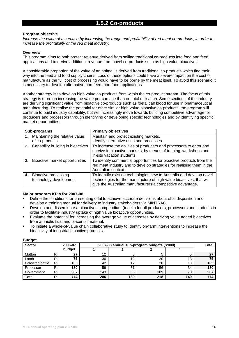#### **Program objective**

*Increase the value of a carcase by increasing the range and profitability of red meat co-products, in order to increase the profitability of the red meat industry.* 

#### **Overview**

This program aims to both protect revenue derived from selling traditional co-products into food and feed applications and to derive additional revenue from novel co-products such as high value bioactives.

A considerable proportion of the value of an animal is derived from traditional co-products which find their way into the feed and food supply chains. Loss of these options could have a severe impact on the cost of manufacture as the full cost of processing would have to be borne by the meat itself. To avoid this scenario it is necessary to develop alternative non-feed, non-food applications.

Another strategy is to develop high value co-products from within the co-product stream. The focus of this strategy is more on increasing the value per carcase than on total utilisation. Some sections of the industry are deriving significant value from bioactive co-products such as foetal calf blood for use in pharmaceutical manufacturing. To realise the potential for other similar high value bioactive co-products, the program will continue to build industry capability, but will increasingly move towards building competitive advantage for producers and processors through identifying or developing specific technologies and by identifying specific market opportunities.

|    | Sub-programs                                          | <b>Primary objectives</b>                                                                                                                                                                                  |
|----|-------------------------------------------------------|------------------------------------------------------------------------------------------------------------------------------------------------------------------------------------------------------------|
|    | Maintaining the relative value<br>of co-products      | Maintain and protect existing markets.<br>Identify alternative uses and processes.                                                                                                                         |
|    | 2. Capability building in bioactives                  | To increase the abilities of producers and processors to enter and<br>survive in bioactive markets, by means of training, workshops and<br>in-situ vacation students.                                      |
| 3. | Bioactive market opportunities                        | To identify commercial opportunities for bioactive products from the<br>red meat industry and to develop strategies for realising them in the<br>Australian context.                                       |
| 4. | <b>Bioactive processing</b><br>technology development | To identify existing technologies new to Australia and develop novel<br>technologies for the manufacture of high value bioactives, that will<br>give the Australian manufacturers a competitive advantage. |

#### **Major program KPIs for 2007-08**

- Define the conditions for presenting offal to achieve accurate decisions about offal disposition and develop a training manual for delivery to industry stakeholders via MINTRAC.
- Develop and disseminate a bioactives compendium (toolkit) for all producers, processors and students in order to facilitate industry uptake of high value bioactive opportunities.
- Evaluate the potential for increasing the average value of carcases by deriving value added bioactives from amniotic fluid and placental material.
- To initiate a whole-of-value chain collaborative study to identify on-farm interventions to increase the bioactivity of industrial bioactive products.

| <b>Sector</b>   |   | 2006-07 | 2007-08 annual sub-program budgets (\$'000) | <b>Total</b> |     |     |     |
|-----------------|---|---------|---------------------------------------------|--------------|-----|-----|-----|
|                 |   | budget  |                                             |              |     |     |     |
| Mutton          |   | 27      | 12                                          |              |     |     | רפ  |
| Lamb            |   | 75      | 30                                          | 12           | 20  | 13  | 75  |
| Grassfed cattle | D | 105     | 42                                          |              | 28  | 18  | 105 |
| Processor       |   | 180     | 59                                          | 31           | 56  | 34  | 180 |
| Government      | D | 387     | 143                                         | 65           | 109 | 70  | 387 |
| <b>Total</b>    | R | 774     | 286                                         | 130          | 218 | 140 | 774 |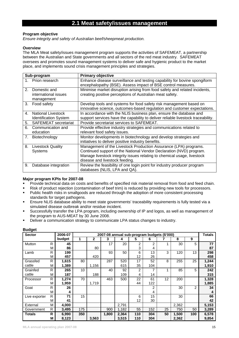### **2.1 Meat safety/issues management**

#### **Program objective**

*Ensure integrity and safety of Australian beef/sheepmeat production.* 

#### **Overview**

The MLA Meat safety/issues management program supports the activities of SAFEMEAT, a partnership between the Australian and State governments and all sectors of the red meat industry. SAFEMEAT oversees and promotes sound management systems to deliver safe and hygienic product to the market place, and implements sound crisis management principles and strategies.

|    | Sub-program                        | <b>Primary objective</b>                                                                                                                       |
|----|------------------------------------|------------------------------------------------------------------------------------------------------------------------------------------------|
|    | 1. Prion research                  | Enhance disease surveillance and testing capability for bovine spongiform<br>encephalopathy (BSE). Assess impact of BSE control measures.      |
| 2. | Domestic and                       | Minimise market disruption arising from food safety and related incidents,                                                                     |
|    | international issues<br>management | creating positive perceptions of Australian meat safety.                                                                                       |
| 3. | Food safety                        | Develop tools and systems for food safety risk management based on<br>innovative science, outcomes-based regulation and customer expectations. |
| 4. | National Livestock                 |                                                                                                                                                |
|    |                                    | In accordance with the NLIS business plan, ensure the database and                                                                             |
|    | <b>Identification System</b>       | support services have the capability to deliver reliable livestock traceability.                                                               |
| 5. | <b>SAFEMEAT</b> secretariat        | Provide secretariat services to SAFEMEAT.                                                                                                      |
| 6. | Communication and                  | Provide effective industry strategies and communications related to                                                                            |
|    | education                          | relevant food safety issues.                                                                                                                   |
| 7. | Biotechnology                      | Monitor developments in biotechnology and develop strategies and                                                                               |
|    |                                    | initiatives to deliver positive industry benefits.                                                                                             |
| 8. | <b>Livestock Quality</b>           | Management of the Livestock Production Assurance (LPA) programs.                                                                               |
|    | Systems                            | Continued support of the National Vendor Declaration (NVD) program.                                                                            |
|    |                                    | Manage livestock integrity issues relating to chemical usage, livestock                                                                        |
|    |                                    | disease and livestock feeding.                                                                                                                 |
| 9. | Database integration               | Review the feasibility of one login point for industry producer program<br>databases (NLIS, LPA and QA).                                       |

#### **Major program KPIs for 2007-08**

- Provide technical data on costs and benefits of specified risk material removal from food and feed chain.
- Risk of product rejection (contamination of beef trim) is reduced by providing new tools for processors.
- Public health risks in smallgoods are reduced through the adoption of more consistent processing standards for target pathogens.
- Ensure NLIS database ability to meet state governments' traceability requirements is fully tested via a simulated disease outbreak and/or residue incident.
- Successfully transfer the LPA program, including ownership of IP and logos, as well as management of the program to AUS-MEAT by 30 June 2008.
- Deliver a communication strategy to communicate LPA status changes to industry.

| ູສູ<br><b>Sector</b> |   | 2006-07 |     |       |       | 2007-08 annual sub-program budgets (\$'000) |     |     |    |       |                | <b>Totals</b> |
|----------------------|---|---------|-----|-------|-------|---------------------------------------------|-----|-----|----|-------|----------------|---------------|
|                      |   | budget  | 1   | 2     | 3     | 4                                           | 5   | 6   |    | 8     | 9              |               |
| Mutton               | R | 45      |     |       | 17    | 20                                          | 2   | 2   |    | 30    | 5              | 77            |
|                      | M | 86      |     | 80    |       |                                             | 3   | 4   |    |       |                | 87            |
| Lamb                 | R | 199     |     |       | 93    | 50                                          | 6   | 13  | 3  | 120   | 13             | 298           |
|                      | М | 457     |     | 420   |       |                                             | 12  | 26  |    |       |                | 458           |
| Grassfed             | R | 1,615   | 80  |       | 287   | 520                                         | 17  | 52  | 8  | 255   | 25             | 1,244         |
| cattle               | M | 1,389   |     | 1,156 |       | 615                                         | 35  | 104 |    |       |                | 1,910         |
| Grainfed             | R | 265     | 10  |       | 40    | 92                                          | 2   |     |    | 85    | 5              | 242           |
| cattle               | M | 187     |     | 188   |       | 109                                         | 4   | 14  |    |       |                | 315           |
| Processor            | R | 1,274   | 70  |       | 463   | 500                                         | 22  | 61  | 12 | 200   |                | 1,328         |
|                      | М | 1,959   |     | 1,719 |       |                                             | 44  | 122 |    |       |                | 1,885         |
| Goat                 | R | 26      |     |       |       |                                             |     | 2   |    | 30    | $\overline{2}$ | 34            |
|                      | M | 4       |     |       |       |                                             |     | 4   |    |       |                | Δ             |
| Live exporter        | R | 71      | 15  |       |       |                                             | 6   | 15  |    | 30    |                | 66            |
|                      | M | 41      |     |       |       |                                             | 12  | 30  |    |       |                | 42            |
| External             | М | 4,000   |     |       |       | 2,791                                       |     |     |    | 2,362 |                | 5,153         |
| Government           | R | 3,495   | 175 |       | 900   | 1,182                                       | 55  | 152 | 25 | 750   | 50             | 3,289         |
| <b>Totals</b>        | R | 6,990   | 350 |       | 1,800 | 2,364                                       | 110 | 304 | 50 | 1,500 | 100            | 6,578         |
|                      | М | 8,123   |     | 3,563 |       | 3,515                                       | 110 | 304 |    | 2,362 |                | 9,854         |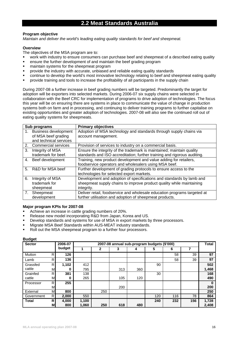### **2.2 Meat Standards Australia**

#### **Program objective**

*Maintain and deliver the world's leading eating quality standards for beef and sheepmeat.* 

#### **Overview**

The objectives of the MSA program are to:

- work with industry to ensure consumers can purchase beef and sheepmeat of a described eating quality
- ensure the further development of and maintain the beef grading program
- **EXEC** maintain systems for the sheepmeat program
- provide the industry with accurate, unbiased and reliable eating quality standards
- continue to develop the world's most innovative technology relating to beef and sheepmeat eating quality
- provide training and tools to increase the profitability of all participants in the supply chain

During 2007-08 a further increase in beef grading numbers will be targeted. Predominantly the target for adoption will be exporters into selected markets. During 2006-07 six supply chains were selected in collaboration with the Beef CRC for implementation of programs to drive adoption of technologies. The focus this year will be on ensuring there are systems in place to communicate the value of change in production systems both on farm and in processing, and continuing to deliver training programs to further capitalise on existing opportunities and greater adoption of technologies. 2007-08 will also see the continued roll out of eating quality systems for sheepmeats.

|                | Sub programs                                                                 | <b>Primary objectives</b>                                                                                                                                  |
|----------------|------------------------------------------------------------------------------|------------------------------------------------------------------------------------------------------------------------------------------------------------|
| 1.             | <b>Business development</b><br>of MSA beef grading<br>and technical services | Adoption of MSA technology and standards through supply chains via<br>account management.                                                                  |
| 2.             | <b>Commercial services</b>                                                   | Provision of services to industry on a commercial basis.                                                                                                   |
| 3.             | Integrity of MSA<br>trademark for beef.                                      | Ensure the integrity of the trademark is maintained; maintain quality<br>standards and ISO accreditation; further training and rigorous auditing.          |
| 4.             | Beef development                                                             | Training, new product development and value adding for retailers,<br>foodservice operators and wholesalers using MSA beef.                                 |
| 5 <sub>1</sub> | R&D for MSA beef                                                             | Further development of grading protocols to ensure access to the<br>technologies for selected export markets.                                              |
| 6.             | Integrity of MSA<br>trademark for<br>sheepmeat                               | Development and adoption of specifications and standards by lamb and<br>sheepmeat supply chains to improve product quality while maintaining<br>integrity. |
| 7.             | Sheepmeat<br>development                                                     | Deliver retail, foodservice and wholesale education programs targeted at<br>further utilisation and adoption of sheepmeat products.                        |

#### **Major program KPIs for 2007-08**

- Achieve an increase in cattle grading numbers of 20%.
- Release new model incorporating R&D from Japan, Korea and US.
- Develop standards and systems for use of MSA in export markets by three processors.
- Migrate MSA Beef Standards within AUS-MEAT industry standards.
- Roll out the MSA sheepmeat program to a further four processors.

| <b>Sector</b> |             | 2006-07 |       |              |     | 2007-08 annual sub-program budgets (\$'000) |     |     |     | <b>Total</b> |
|---------------|-------------|---------|-------|--------------|-----|---------------------------------------------|-----|-----|-----|--------------|
|               |             | budget  |       | $\mathbf{2}$ | 3   | 4                                           | 5   | 6   | 7   |              |
| Mutton        | R.          | 126     |       |              |     |                                             |     | 58  | 39  | 97           |
| Lamb          | R.          | 136     |       |              |     |                                             |     | 58  | 39  | 97           |
| Grassfed      | R.          | 1,102   | 412   |              |     |                                             | 90  |     |     | 502          |
| cattle        | М           | 0       | 795   |              | 313 | 360                                         |     |     |     | 1,468        |
| Grainfed      | R.          | 381     | 138   |              |     |                                             | 30  |     |     | 168          |
| cattle        | м           | 0       | 265   |              | 105 | 120                                         |     |     |     | 490          |
| Processor     | R.          | 255     |       |              |     |                                             |     |     |     |              |
|               | M           |         |       |              | 200 |                                             |     |     |     | 200          |
| External      | M           | 800     |       | 250          |     |                                             |     |     |     | 250          |
| Government    | R.          | 2,000   | 550   |              |     |                                             | 120 | 116 | 78  | 864          |
| <b>Total</b>  | $R_{\rm I}$ | 4,000   | 1,100 |              |     |                                             | 240 | 232 | 156 | 1,728        |
|               | м           | 800     | 1,060 | 250          | 618 | 480                                         |     |     |     | 2,408        |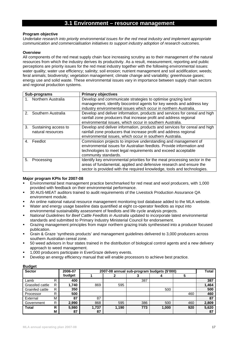### **3.1 Environment – resource management**

#### **Program objective**

*Undertake research into priority environmental issues for the red meat industry and implement appropriate communication and commercialisation initiatives to support industry adoption of research outcomes.* 

#### **Overview**

All components of the red meat supply chain face increasing scrutiny as to their management of the natural resources from which the industry derives its productivity. As a result, measurement, reporting and public perceptions are priority issues for the red meat industry together with the following environmental issues: water quality; water use efficiency; salinity; soil erosion; nutrient management and soil acidification; weeds; feral animals; biodiversity; vegetation management; climate change and variability; greenhouse gases; energy use and solid waste. These environmental issues vary in importance between supply chain sectors and regional production systems.

|    | Sub-programs                              | <b>Primary objectives</b>                                                                                                                                                                                                        |
|----|-------------------------------------------|----------------------------------------------------------------------------------------------------------------------------------------------------------------------------------------------------------------------------------|
|    | Northern Australia                        | Develop and communicate strategies to optimise grazing land<br>management, identify biocontrol agents for key weeds and address key<br>industry environmental issues which occur in northern Australia.                          |
|    | Southern Australia                        | Develop and deliver information, products and services for cereal and high<br>rainfall zone producers that increase profit and address regional<br>environmental issues, which occur in southern Australia.                      |
| 3. | Sustaining access to<br>natural resources | Develop and deliver information, products and services for cereal and high<br>rainfall zone producers that increase profit and address regional<br>environmental issues, which occur in southern Australia.                      |
| 4. | Feedlot                                   | Commission projects to improve understanding and management of<br>environmental issues for Australian feedlots. Provide information and<br>technologies to meet legal requirements and exceed acceptable<br>community standards. |
| 5. | Processing                                | Identify key environmental priorities for the meat processing sector in the<br>areas of fundamental, applied and defensive research and ensure the<br>sector is provided with the required knowledge, tools and technologies.    |

#### **Major program KPIs for 2007-08**

- Environmental best management practice benchmarked for red meat and wool producers, with 1,000 provided with feedback on their environmental performance.
- 30 AUS-MEAT auditors trained to audit requirements of the Livestock Production Assurance QA environment module.
- An online national natural resource management monitoring tool database added to the MLA website.
- Water and energy usage baseline data quantified at eight co-operator feedlots as input into environmental sustainability assessment of feedlots and life cycle analysis projects.
- *National Guidelines for Beef Cattle Feedlots in Australia* updated to incorporate latest environmental standards and submitted to Primary Industry Ministerial Council for endorsement.
- Grazing management principles from major northern grazing trials synthesised into a producer focused publication.
- Grain & Graze 'synthesis products' and management guidelines delivered to 3,000 producers across southern Australian cereal zone.
- 50 weed advisors in four states trained in the distribution of biological control agents and a new delivery approach to weed management.
- 1,000 producers participate in EverGraze delivery events.
- Develop an energy efficiency manual that will enable processors to achieve best practice.

| <b>Sector</b>   |   | 2006-07 |       | 2007-08 annual sub-program budgets (\$'000) |     |       |     | <b>Total</b> |
|-----------------|---|---------|-------|---------------------------------------------|-----|-------|-----|--------------|
|                 |   | budget  |       |                                             |     |       | 5   |              |
| Lamb            | R | 400     |       |                                             | 387 |       |     | 387          |
| Grassfed cattle | R | 740. ا  | 869   | 595                                         |     |       |     | 1,464        |
| Grainfed cattle | R | 350     |       |                                             |     | 500   |     | 500          |
| Processor       | R | 500     |       |                                             |     |       | 460 | 460          |
| External        | M | 87      | 87    |                                             |     |       |     | 87           |
| Government      | R | 2,990   | 868   | 595                                         | 386 | 500   | 460 | 2,809        |
| <b>Total</b>    | R | 5,980   | 1,737 | 1,190                                       | 773 | 1,000 | 920 | 5,620        |
|                 | M | 87      | 87    |                                             |     |       |     | 87           |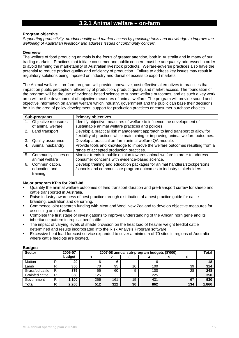### **3.2.1 Animal welfare – on-farm**

#### **Program objective**

*Supporting productivity, product quality and market access by providing tools and knowledge to improve the wellbeing of Australian livestock and address issues of community concern.* 

#### **Overview**

The welfare of food producing animals is the focus of greater attention, both in Australia and in many of our trading markets. Practices that initiate consumer and public concern must be adequately addressed in order to avoid harming the marketability of Australian livestock products. Welfare-adverse practices also have the potential to reduce product quality and efficiency of production. Failure to address key issues may result in regulatory solutions being imposed on industry and denial of access to export markets.

The Animal welfare – on-farm program will provide innovative, cost effective alternatives to practices that impact on public perception, efficiency of production, product quality and market access. The foundation of the program will be the use of evidence-based science to support welfare outcomes, and as such a key work area will be the development of objective measures of animal welfare. The program will provide sound and objective information on animal welfare which industry, government and the public can base their decisions, be it in the area of policy development, support for production practices or consumer purchase choices.

|    | Sub-programs           | <b>Primary objectives</b>                                                        |
|----|------------------------|----------------------------------------------------------------------------------|
|    | Objective measures     | Identify objective measures of welfare to influence the development of           |
|    | of animal welfare      | sustainable animal welfare practices and policies.                               |
|    | 2. Land transport      | Develop a practical risk management approach to land transport to allow for      |
|    |                        | flexibility of practices while maintaining or improving animal welfare outcomes. |
| 3. | Quality assurance      | Develop a practical on-farm animal welfare QA module.                            |
|    | 4. Animal husbandry    | Provide tools and knowledge to improve the welfare outcomes resulting from a     |
|    |                        | range of accepted production practices.                                          |
|    | 5. Community issues on | Monitor trends in public opinion towards animal welfare in order to address      |
|    | animal welfare         | consumer concerns with evidence-based science.                                   |
|    | 6. Communication,      | Develop training and education packages for animal handlers/stockpersons         |
|    | education and          | /schools and communicate program outcomes to industry stakeholders.              |
|    | training               |                                                                                  |

#### **Major program KPIs for 2007-08**

- Quantify the animal welfare outcomes of land transport duration and pre-transport curfew for sheep and cattle transported in Australia.
- Raise industry awareness of best practice through distribution of a best practice guide for cattle branding, castration and dehorning.
- Commence joint research funding with Meat and Wool New Zealand to develop objective measures for assessing animal welfare.
- Complete the first stage of investigations to improve understanding of the African horn gene and its inheritance pattern in tropical beef cattle.
- The impact of varying levels of shade provision on the heat load of heavier weight feedlot cattle determined and results incorporated into the Risk Analysis Program software.
- Excessive heat load forecast service expanded to cover a minimum of 70 sites in regions of Australia where cattle feedlots are located.

| suugu.<br><b>Sector</b> |   | 2006-07 |     | 2007-08 annual sub-program budgets (\$'000) |    |     |  |     |       |  |
|-------------------------|---|---------|-----|---------------------------------------------|----|-----|--|-----|-------|--|
|                         |   | budget  |     |                                             | w  |     |  |     | Total |  |
| Mutton                  |   | 20      | 6   |                                             |    | 6   |  |     | 18    |  |
| Lamb                    |   | 355     | 70  | 95                                          | 10 | 100 |  | 39  | 314   |  |
| Grassfed cattle         | D | 375     | 55  | 60                                          | 5  | 100 |  | 28  | 248   |  |
| <b>Grainfed cattle</b>  | R | 350     | 125 |                                             |    | 225 |  |     | 350   |  |
| Government              | R | 1,100   | 256 | 161                                         | 15 | 431 |  | 67  | 930   |  |
| <b>Total</b>            | R | 2,200   | 512 | 322                                         | 30 | 862 |  | 134 | 1,860 |  |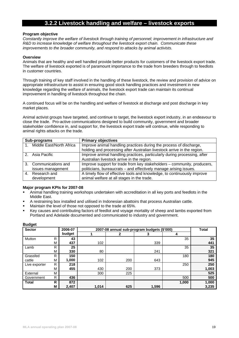### **3.2.2 Livestock handling and welfare – livestock exports**

#### **Program objective**

*Constantly improve the welfare of livestock through training of personnel; improvement in infrastructure and R&D to increase knowledge of welfare throughout the livestock export chain. Communicate these improvements to the broader community, and respond to attacks by animal activists.* 

#### **Overview**

Animals that are healthy and well handled provide better products for customers of the livestock export trade. The welfare of livestock exported is of paramount importance to the trade from breeders through to feedlots in customer countries.

Through training of key staff involved in the handling of these livestock, the review and provision of advice on appropriate infrastructure to assist in ensuring good stock handling practices and investment in new knowledge regarding the welfare of animals, the livestock export trade can maintain its continual improvement in handling of livestock throughout the chain.

A continued focus will be on the handling and welfare of livestock at discharge and post discharge in key market places.

Animal activist groups have targeted, and continue to target, the livestock export industry, in an endeavour to close the trade. Pro-active communications designed to build community, government and broader stakeholder confidence in, and support for, the livestock export trade will continue, while responding to animal rights attacks on the trade.

| Sub-programs             | <b>Primary objectives</b>                                                |
|--------------------------|--------------------------------------------------------------------------|
| Middle East/North Africa | Improve animal handling practices during the process of discharge,       |
|                          | holding and processing after Australian livestock arrive in the region.  |
| 2. Asia Pacific          | Improve animal handling practices, particularly during processing, after |
|                          | Australian livestock arrive in the region.                               |
| 3. Communications and    | Improve support for trade from key stakeholders - community, producers,  |
| issues management        | politicians, bureaucrats – and effectively manage arising issues.        |
| 4. Research and          | A timely flow of effective tools and knowledge, to continuously improve  |
| development              | animal welfare at all stages in the trade.                               |

#### **Major program KPIs for 2007-08**

- Animal handling training workshops undertaken with accreditation in all key ports and feedlots in the Middle East.
- A restraining box installed and utilised in Indonesian abattoirs that process Australian cattle.
- Maintain the level of those not opposed to the trade at 65%.
- Key causes and contributing factors of feedlot and voyage mortality of sheep and lambs exported from Portland and Adelaide documented and communicated to industry and government.

| <b>Sector</b> | 2006-07 |        |       | 2007-08 annual sub-program budgets (\$'000) |       |       | <b>Total</b> |
|---------------|---------|--------|-------|---------------------------------------------|-------|-------|--------------|
|               |         | budget |       |                                             |       | Δ     |              |
| Mutton        | R       | 43     |       |                                             |       | 35    | 35           |
|               | M       | 437    | 102   |                                             | 339   |       | 441          |
| Lamb          | R       | 25     |       |                                             |       | 35    | 35           |
|               | М       | 330    | 80    |                                             | 241   |       | 321          |
| Grassfed      | R       | 150    |       |                                             |       | 180   | 180          |
| cattle        | М       | 1,000  | 102   | 200                                         | 643   |       | 945          |
| Live exporter | R       | 218    |       |                                             |       | 250   | 250          |
|               | М       | 455    | 430   | 200                                         | 373   |       | 1,003        |
| External      | M       |        | 300   | 225                                         |       |       | 525          |
| Government    | R       | 436    |       |                                             |       | 500   | 500          |
| Total         | R       | 872    |       |                                             |       | 1,000 | 1,000        |
|               | M       | 2,407  | 1,014 | 625                                         | 1,596 |       | 3,235        |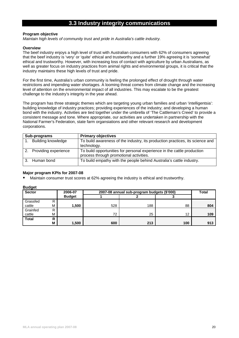### **3.3 Industry integrity communications**

#### **Program objective**

*Maintain high levels of community trust and pride in Australia's cattle industry.* 

#### **Overview**

The beef industry enjoys a high level of trust with Australian consumers with 62% of consumers agreeing that the beef industry is 'very' or 'quite' ethical and trustworthy and a further 19% agreeing it is 'somewhat' ethical and trustworthy. However, with increasing loss of contact with agriculture by urban Australians, as well as greater focus on industry practices from animal rights and environmental groups, it is critical that the industry maintains these high levels of trust and pride.

For the first time, Australia's urban community is feeling the prolonged effect of drought through water restrictions and impending water shortages. A looming threat comes from climate change and the increasing level of attention on the environmental impact of all industries. This may escalate to be the greatest challenge to the industry's integrity in the year ahead.

The program has three strategic themes which are targeting young urban families and urban 'intelligentsia': building knowledge of industry practices; providing experiences of the industry; and developing a human bond with the industry. Activities are tied together under the umbrella of 'The Cattleman's Creed' to provide a consistent message and tone. Where appropriate, our activities are undertaken in partnership with the National Farmer's Federation, state farm organsiations and other relevant research and development corporations.

| Sub-programs              | <b>Primary objectives</b>                                                     |
|---------------------------|-------------------------------------------------------------------------------|
| <b>Building knowledge</b> | To build awareness of the industry, its production practices, its science and |
|                           | technology.                                                                   |
| 2. Providing experience   | To build opportunities for personal experience in the cattle production       |
|                           | process through promotional activities.                                       |
| Human bond                | To build empathy with the people behind Australia's cattle industry.          |
|                           |                                                                               |

#### **Major program KPIs for 2007-08**

Maintain consumer trust scores at 62% agreeing the industry is ethical and trustworthy.

| <b>Sector</b> |   | 2006-07       | 2007-08 annual sub-program budgets (\$'000) | <b>Total</b> |                 |     |
|---------------|---|---------------|---------------------------------------------|--------------|-----------------|-----|
|               |   | <b>Budget</b> |                                             |              |                 |     |
| Grassfed      | R |               |                                             |              |                 |     |
| cattle        | М | 1,500         | 528                                         | 188          | 88              | 804 |
| Grainfed      | R |               |                                             |              |                 |     |
| cattle        | М |               | 72                                          | 25           | 12 <sup>2</sup> | 109 |
| <b>Total</b>  | R |               |                                             |              |                 |     |
|               | М | 1,500         | 600                                         | 213          | 100             | 913 |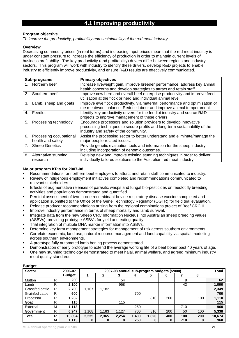### **4.1 Improving productivity**

#### **Program objective**

*To improve the productivity, profitability and sustainability of the red meat industry.* 

#### **Overview**

Decreasing commodity prices (in real terms) and increasing input prices mean that the red meat industry is under constant pressure to increase the efficiency of production in order to maintain current levels of business profitability. The key productivity (and profitability) drivers differ between regions and industry sectors. This program will work with industry to identify these drivers, develop R&D projects to enable industry to efficiently improve productivity, and ensure R&D results are effectively communicated.

|               | Sub-programs                                    | <b>Primary objectives</b>                                                                                                                                                                 |  |  |  |  |  |  |
|---------------|-------------------------------------------------|-------------------------------------------------------------------------------------------------------------------------------------------------------------------------------------------|--|--|--|--|--|--|
|               | 1. Northern beef                                | Increase liveweight gain, improve breeder performance, address key animal<br>health concerns and develop strategies to attract and retain staff.                                          |  |  |  |  |  |  |
| $\mathcal{P}$ | Southern beef                                   | Improve cow herd and overall beef enterprise productivity and improve feed<br>utilisation at the flock or herd and individual animal level.                                               |  |  |  |  |  |  |
| 3.            | Lamb, sheep and goats                           | Improve ewe flock productivity, via maternal performance and optimisation of<br>the meat/wool balance. Reduce labour and improve animal temperament.                                      |  |  |  |  |  |  |
| 4.            | Feedlot                                         | Identify key productivity drivers for the feedlot industry and source R&D<br>projects to improve management of these drivers.                                                             |  |  |  |  |  |  |
| 5.            | Processing technology                           | Encourage processors and solution providers to develop innovative<br>processing techniques to secure profits and long-term sustainability of the<br>industry and safety of the community. |  |  |  |  |  |  |
|               | 6. Processing occupational<br>health and safety | Assist the processing sector to better understand and eliminate/manage the<br>major people-related issues.                                                                                |  |  |  |  |  |  |
| 7.            | <b>Sheep Genetics</b>                           | Provide genetic evaluation tools and information for the sheep industry<br>including incorporation of genomic outcomes.                                                                   |  |  |  |  |  |  |
| 8.            | Alternative stunning<br>research                | Develop new and improve existing stunning techniques in order to deliver<br>individually tailored solutions to the Australian red meat industry.                                          |  |  |  |  |  |  |

#### **Major program KPIs for 2007-08**

- Recommendations for northern beef employers to attract and retain staff communicated to industry.
- Review of indigenous employment initiatives completed and recommendations communicated to relevant stakeholders.
- Effects of augmentative releases of parasitic wasps and fungal bio-pesticides on feedlot fly breeding activities and populations demonstrated and quantified.
- Pen trial assessment of two-in-one recombinant bovine respiratory disease vaccine completed and application submitted to the Office of the Gene Technology Regulator (OGTR) for field trial evaluation.
- Release producer recommendations arising from the regional combinations project of Beef CRC II.
- **IMPROVE INCOVER INCOVER THE IMPLE THE IMPLE THE INCOVERT** IMPROVER INTEGRAL IMPROVER INTEGRAL INTEGRAL SURVIVAL.
- Integrate data from the new Sheep CRC Information Nucleus into Australian sheep breeding values (ASBVs), providing prototype ASBVs for yield and eating quality.
- **Trial integration of multiple DNA marker information into ASBVs.**
- Determine key farm management strategies for management of risk across southern environments.
- Correlate economic, land use, natural resource management and land capability via spatial modelling across southern environments.
- A prototype fully automated lamb boning process demonstrated.
- Demonstration of early prototype to extend the average working life of a beef boner past 40 years of age.
- One new stunning technology demonstrated to meet halal, animal welfare, and agreed minimum industry meat quality standards.

| <b>Sector</b><br>2006-07 |    |               |       |       | 2007-08 annual sub-program budgets (\$'000) |       |       |     |     |     | <b>Total</b> |
|--------------------------|----|---------------|-------|-------|---------------------------------------------|-------|-------|-----|-----|-----|--------------|
|                          |    | <b>Budget</b> |       |       | 3                                           | 4     | 5     | ь   |     | 8   |              |
| Mutton                   | R  | 200           |       |       | 54                                          |       |       |     | 8   |     | 62           |
| Lamb                     | R. | 2,100         |       |       | 958                                         |       |       |     | 42  |     | 1,000        |
| Grassfed cattle          | R  | 2,700         | 1.167 | 1,182 |                                             |       |       |     |     |     | 2,349        |
| Grainfed cattle          | R  | 600           |       |       |                                             | 700   |       |     |     |     | 700          |
| Processor                | R  | 1,232         |       |       |                                             |       | 810   | 200 |     | 100 | 1,110        |
| Goat                     | R  | 115           |       |       | 115                                         |       |       |     |     |     | 115          |
| External                 | M  | 1,113         |       |       |                                             | 250   |       |     | 710 |     | 960          |
| Government               | R  | 6,947         | 1,168 | 1,183 | 1,127                                       | 700   | 810   | 200 | 50  | 100 | 5,338        |
| <b>Total</b>             | R  | 13,894        | 2,335 | 2,365 | 2,254                                       | 1,400 | 1,620 | 400 | 100 | 200 | 10,674       |
|                          | Μ  | 1,113         | o     | 0     | o                                           | 250   | U     | 0   | 710 | 0   | 960          |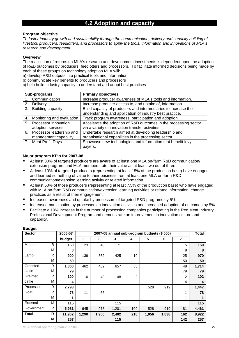### **4.2 Adoption and capacity**

#### **Program objective**

*To foster industry growth and sustainability through the communication, delivery and capacity building of livestock producers, feedlotters, and processors to apply the tools, information and innovations of MLA's research and development.* 

#### **Overview**

The realisation of returns on MLA's research and development investments is dependent upon the adoption of R&D outcomes by producers, feedlotters and processors. To facilitate informed decisions being made by each of these groups on technology adoption MLA will:

a) develop R&D outputs into practical tools and information

b) communicate key benefits to producers and processors

c) help build industry capacity to understand and adopt best practices.

| Sub-programs                    | <b>Primary objectives</b>                                        |
|---------------------------------|------------------------------------------------------------------|
| Communication                   | Increase producer awareness of MLA's tools and information.      |
| Delivery<br>2.                  | Increase producer access to, and uptake of, information.         |
| Building capacity<br>3.         | Build capacity of producers and intermediaries to increase their |
|                                 | understanding and application of industry best practice.         |
| Monitoring and evaluation<br>4. | Track program awareness, participation and adoption.             |
| Processor innovation<br>5.      | Accelerate the adoption of R&D outcomes in the processing sector |
| adoption services               | via a variety of innovation transfer activities.                 |
| 6. Processor leadership and     | Undertake research aimed at developing leadership and            |
| management capability           | organisational capabilities in the processing sector.            |
| <b>Meat Profit Days</b><br>7.   | Showcase new technologies and information that benefit levy      |
|                                 | pavers.                                                          |

#### **Major program KPIs for 2007-08**

- At least 80% of targeted producers are aware of at least one MLA on-farm R&D communication/ extension program, and MLA members rate their value as at least two out of three.
- At least 10% of targeted producers (representing at least 15% of the production base) have engaged and learned something of value to their business from at least one MLA on-farm R&D communication/extension learning activity or related information.
- At least 50% of those producers (representing at least 7.5% of the production base) who have engaged with MLA on-farm R&D communication/extension learning activities or related information, change practices as a result of their engagement.
- Increased awareness and uptake by processors of targeted R&D programs by 5%.
- Increased participation by processors in innovation activities and increased adoption of outcomes by 5%.
- Facilitate a 10% increase in the number of processing companies participating in the Red Meat Industry Professional Development Program and demonstrate an improvement in innovation culture and capability.

| <b>Sector</b> |   | 2006-07 |       |              |       | 2007-08 annual sub-program budgets (\$'000) |       |       |                | <b>Total</b>            |
|---------------|---|---------|-------|--------------|-------|---------------------------------------------|-------|-------|----------------|-------------------------|
|               |   | budget  | 1     | $\mathbf{2}$ | 3     | 4                                           | 5     | 6     | 7              |                         |
| Mutton        | R | 150     | 23    | 48           | 71    | 3                                           |       |       | 5              | 150                     |
|               | М | 8       |       |              |       |                                             |       |       | 8              | 8                       |
| Lamb          | R | 900     | 139   | 362          | 425   | 19                                          |       |       | 25             | 970                     |
|               | М | 50      |       |              |       |                                             |       |       | 50             | 50                      |
| Grassfed      | R | 1,860   | 462   | 462          | 657   | 85                                          |       |       | 48             | 1,714                   |
| cattle        | М | 79      |       |              |       |                                             |       |       | 79             | 79                      |
| Grainfed      | R | 100     | 10    | 40           | 48    | $\overline{2}$                              |       |       | $\overline{2}$ | 102                     |
| cattle        | М | 4       |       |              |       |                                             |       |       | 4              | $\overline{\mathbf{4}}$ |
| Processor     | R | 2,793   |       |              |       |                                             | 528   | 919   |                | 1,447                   |
| Goat          | R | 78      | 11    | 66           |       |                                             |       |       |                | 78                      |
|               | М |         |       |              |       |                                             |       |       |                |                         |
| External      | М | 115     |       |              | 115   |                                             |       |       |                | 115                     |
| Government    | R | 5,981   | 645   | 978          | 1,201 | 109                                         | 528   | 919   | 81             | 4,461                   |
| <b>Total</b>  | R | 11,962  | 1,290 | 1,956        | 2,402 | 218                                         | 1,056 | 1,838 | 162            | 8,922                   |
|               | М | 257     |       |              | 115   |                                             |       |       | 142            | 257                     |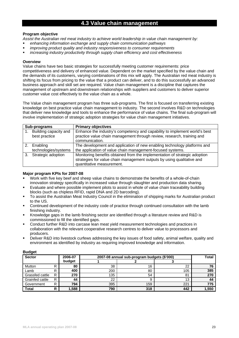### **4.3 Value chain management**

#### **Program objective**

*Assist the Australian red meat industry to achieve world leadership in value chain management by:* 

- *enhancing information exchange and supply chain communication pathways*
- *improving product quality and industry responsiveness to consumer requirements*
- *increasing industry productivity through supply chain efficiency and cost effectiveness*

#### **Overview**

Value chains have two basic strategies for successfully meeting customer requirements: price competitiveness and delivery of enhanced value. Dependent on the market specified by the value chain and the demands of its customers, varying combinations of this mix will apply. The Australian red meat industry is shifting its focus from pricing to the value that a product can deliver, and to do this successfully an advanced business approach and skill set are required. Value chain management is a discipline that captures the management of upstream and downstream relationships with suppliers and customers to deliver superior customer value cost effectively to the value chain as a whole.

The Value chain management program has three sub-programs. The first is focused on transferring existing knowledge on best practice value chain management to industry. The second involves R&D on technologies that deliver new knowledge and tools to enhance the performance of value chains. The final sub-program will involve implementation of strategic adoption strategies for value chain management initiatives.

|    | Sub-programs                           | <b>Primary objectives</b>                                                                                                                                                         |
|----|----------------------------------------|-----------------------------------------------------------------------------------------------------------------------------------------------------------------------------------|
|    | Building capacity and<br>best practice | Enhance the industry's competency and capability to implement world's best<br>practice value chain management through review, research, training and<br>communication.            |
| 2. | Enabling                               | The development and application of new enabling technology platforms and                                                                                                          |
|    | technologies/systems                   | the application of value chain management-focused systems.                                                                                                                        |
| 3. | Strategic adoption                     | Monitoring benefits obtained from the implementation of strategic adoption<br>strategies for value chain management outputs by using qualitative and<br>quantitative measurement. |

#### **Major program KPIs for 2007-08**

- Work with five key beef and sheep value chains to demonstrate the benefits of a whole-of-chain innovation strategy specifically in increased value through slaughter and production data sharing.
- Evaluate and where possible implement pilots to assist in whole of value chain traceability building blocks (such as chipless RFID, rapid DNA and 2D barcoding).
- To assist the Australian Meat Industry Council in the elimination of shipping marks for Australian product to the US.
- Continued development of the industry code of practice through continued consultation with the lamb finishing industry.
- Knowledge gaps in the lamb finishing sector are identified through a literature review and R&D is commissioned to fill the identified gaps.
- Conduct further R&D into carcase lean meat yield measurement technologies and practices in collaboration with the relevant cooperative research centres to deliver value to processors and producers.
- Deliver R&D into livestock curfews addressing the key issues of food safety, animal welfare, quality and environment as identified by industry as requiring improved knowledge and information.

| puugu<br><b>Sector</b> |   | 2006-07 | 2007-08 annual sub-program budgets (\$'000) | <b>Total</b> |     |       |
|------------------------|---|---------|---------------------------------------------|--------------|-----|-------|
|                        |   | budget  |                                             |              | u   |       |
| Mutton                 |   | 80      | 38                                          | 16           | 22  | 76    |
| Lamb                   | R | 400     | 200                                         | 80           | 105 | 385   |
| Grassfed cattle        | R | 270     | 135                                         | 54           | 81  | 270   |
| Grainfed cattle        | R | 44      | 22                                          |              | 13  | 44    |
| Government             | R | 794     | 395                                         | 159          | 221 | 775   |
| <b>Total</b>           | R | ,588    | 790                                         | 318          | 442 | 1,550 |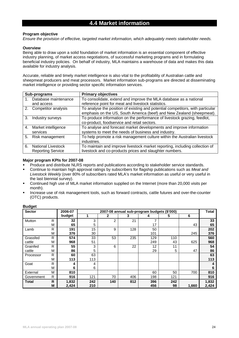#### **Program objective**

*Ensure the provision of effective, targeted market information, which adequately meets stakeholder needs.* 

#### **Overview**

Being able to draw upon a solid foundation of market information is an essential component of effective industry planning, of market access negotiations, of successful marketing programs and in formulating beneficial industry policies. On behalf of industry, MLA maintains a warehouse of data and makes this data available for industry analysis.

Accurate, reliable and timely market intelligence is also vital to the profitability of Australian cattle and sheepmeat producers and meat processors. Market information sub-programs are directed at disseminating market intelligence or providing sector specific information services.

|    | Sub-programs              | <b>Primary objectives</b>                                                                                                                               |
|----|---------------------------|---------------------------------------------------------------------------------------------------------------------------------------------------------|
|    | Database maintenance      | To consolidate, extend and improve the MLA database as a national                                                                                       |
|    | and access                | reference point for meat and livestock statistics.                                                                                                      |
|    | 2. Competitor analysis    | To analyse the position of existing and potential competitors, with particular<br>emphasis on the US, South America (beef) and New Zealand (sheepmeat). |
| 3. | Industry surveys          | To produce information on the performance of livestock grazing, feedlot,                                                                                |
|    |                           | co-product, foodservice and retail sectors.                                                                                                             |
|    | 4. Market intelligence    | To analyse and forecast market developments and improve information                                                                                     |
|    | services                  | systems to meet the needs of business and industry.                                                                                                     |
|    | 5. Risk management        | To help promote a risk management culture within the Australian livestock<br>industries.                                                                |
| 6. | <b>National Livestock</b> | To maintain and improve livestock market reporting, including collection of                                                                             |
|    | <b>Reporting Service</b>  | livestock and co-products prices and slaughter numbers.                                                                                                 |

#### **Major program KPIs for 2007-08**

- Produce and distribute NLRS reports and publications according to stakeholder service standards.
- Continue to maintain high approval ratings by subscribers for flagship publications such as *Meat and Livestock Weekly* (over 80% of subscribers rated MLA's market information as useful or very useful in the last biennial survey).
- Continued high use of MLA market information supplied on the Internet (more than 20,000 visits per month).
- Increase use of risk management tools, such as forward contracts, cattle futures and over-the-counter (OTC) products.

| <b>Sector</b> |   | 2006-07 | 2007-08 annual sub-program budgets (\$'000) |     |     |     |     |       | <b>Total</b> |
|---------------|---|---------|---------------------------------------------|-----|-----|-----|-----|-------|--------------|
|               |   | budget  | 1                                           | 2   | 3   | 4   | 5   | 6     |              |
| Mutton        | R | 32      | 3                                           | 2   | 21  | ⇁   |     |       | 33           |
|               | M | 65      | 5                                           |     |     | 17  |     | 43    | 65           |
| Lamb          | R | 191     | 15                                          | 9   | 128 | 50  |     |       | 202          |
|               | M | 376     | 30                                          |     |     | 101 |     | 245   | 376          |
| Grassfed      | R | 574     | 33                                          | 53  | 235 | 129 | 110 |       | 560          |
| cattle        | M | 968     | 51                                          |     |     | 249 | 43  | 625   | 968          |
| Grainfed      | R | 55      | 3                                           | 6   | 22  | 12  | 11  |       | 54           |
| cattle        | М | 86      | 5                                           |     |     | 29  | 5   | 47    | 86           |
| Processor     | R | 60      | 63                                          |     |     |     |     |       | 63           |
|               | М | 113     | 113                                         |     |     |     |     |       | 113          |
| Goat          | R | 4       | 4                                           |     |     |     |     |       | 4            |
|               | M | 6       | 6                                           |     |     |     |     |       | 6            |
| External      | M | 810     |                                             |     |     | 60  | 50  | 700   | 810          |
| Government    | R | 916     | 121                                         | 70  | 406 | 198 | 121 |       | 916          |
| <b>Total</b>  | R | 1,832   | 242                                         | 140 | 812 | 396 | 242 |       | 1,832        |
|               | M | 2,424   | 210                                         |     |     | 456 | 98  | 1,660 | 2,424        |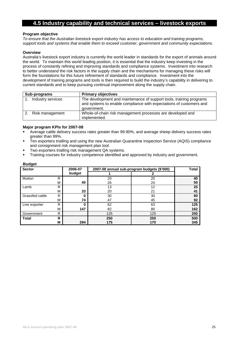### **4.5 Industry capability and technical services – livestock exports**

#### **Program objective**

*To ensure that the Australian livestock export industry has access to education and training programs, support tools and systems that enable them to exceed customer, government and community expectations.* 

#### **Overview**

Australia's livestock export industry is currently the world leader in standards for the export of animals around the world. To maintain this world leading position, it is essential that the industry keep investing in the process of constantly refining and improving standards and compliance systems. Investment into research to better understand the risk factors in the supply chain and the mechanisms for managing these risks will form the foundations for this future refinement of standards and compliance. Investment into the development of training programs and tools is then required to build the industry's capability in delivering to current standards and to keep pursuing continual improvement along the supply chain.

| Sub-programs      | <b>Primary objectives</b>                                                                                                                                 |
|-------------------|-----------------------------------------------------------------------------------------------------------------------------------------------------------|
| Industry services | The development and maintenance of support tools, training programs<br>and systems to enable compliance with expectations of customers and<br>government. |
| Risk management   | Whole-of-chain risk management processes are developed and<br>implemented.                                                                                |

#### **Major program KPIs for 2007-08**

- Average cattle delivery success rates greater than 99.90%, and average sheep delivery success rates greater than 99%.
- Ten exporters trialling and using the new Australian Quarantine Inspection Service (AQIS) compliance and consignment risk management plan tool.
- Two exporters trialling risk management QA systems.
- Training courses for industry competence identified and approved by industry and government.

| <b>Sector</b>   |   | 2006-07 |     | 2007-08 annual sub-program budgets (\$'000) | Total |
|-----------------|---|---------|-----|---------------------------------------------|-------|
|                 |   | budget  |     |                                             |       |
| Mutton          | R |         | 20  | 20                                          | 40    |
|                 | M | 40      | 26  | 24                                          | 50    |
| Lamb            | R |         | 13  | 12                                          | 25    |
|                 | M | 33      | 20  | 21                                          | 41    |
| Grassfed cattle | R | 0       | 30  | 30                                          | 60    |
|                 | M | 74      | 47  | 45                                          | 92    |
| Live exporter   | R | 0       | 62  | 63                                          | 125   |
|                 | M | 147     | 82  | 80                                          | 162   |
| Government      | R |         | 125 | 125                                         | 250   |
| <b>Total</b>    | R |         | 250 | 250                                         | 500   |
|                 | M | 294     | 175 | 170                                         | 345   |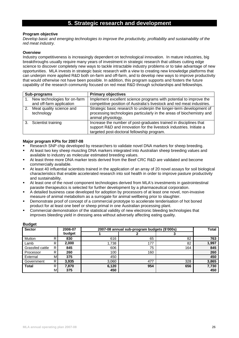### **5. Strategic research and development**

#### **Program objective**

*Develop basic and emerging technologies to improve the productivity, profitability and sustainability of the red meat industry.* 

#### **Overview**

Industry competitiveness is increasingly dependent on technological innovation. In mature industries, big breakthroughs usually require many years of investment in strategic research that utilises cutting edge science to discover completely new ways to tackle intractable industry problems or to take advantage of new opportunities. MLA invests in strategic basic research with a view to creating new knowledge platforms that can underpin more applied R&D both on-farm and off-farm, and to develop new ways to improve productivity that would otherwise not have been possible. In addition, this program supports and fosters the future capability of the research community focused on red meat R&D through scholarships and fellowships.

|    | Sub-programs                                             | <b>Primary objectives</b>                                                                                                                                                              |
|----|----------------------------------------------------------|----------------------------------------------------------------------------------------------------------------------------------------------------------------------------------------|
|    | New technologies for on-farm<br>and off-farm application | Implement excellent science programs with potential to improve the<br>competitive position of Australia's livestock and red meat industries.                                           |
| 2. | Meat quality science and<br>technology                   | Strategic basic research to underpin the longer-term development of<br>processing technologies particularly in the areas of biochemistry and<br>animal physiology.                     |
|    | 3. Scientist training                                    | Increase the number of post-graduates trained in disciplines that<br>support R&D and innovation for the livestock industries. Initiate a<br>targeted post-doctoral fellowship program. |

#### **Major program KPIs for 2007-08**

- Research SNP chip developed by researchers to validate novel DNA markers for sheep breeding.
- At least two key sheep muscling DNA markers integrated into Australian sheep breeding values and available to industry as molecular estimated breeding values.
- At least three more DNA marker tests derived from the Beef CRC R&D are validated and become commercially available.
- At least 40 influential scientists trained in the application of an array of 20 novel assays for soil biological characteristics that enable accelerated research into soil health in order to improve pasture productivity and sustainability.
- At least one of the novel component technologies derived from MLA's investments in gastrointestinal parasite therapeutics is selected for further development by a pharmaceutical corporation.
- A detailed business case developed for adoption by processors of at least one novel, non-invasive measure of animal metabolism as a surrogate for animal wellbeing prior to slaughter.
- Demonstrate proof of concept of a commercial prototype to accelerate tenderisation of hot boned product for at least one beef or sheep primal in one Australian processing plant.
- Commercial demonstration of the statistical validity of new electronic bleeding technologies that improves bleeding yield in dressing area without adversely affecting eating quality.

| <b>Sector</b><br>2006-07 |                 |        | 2007-08 annual sub-program budgets (\$'000s) | <b>Total</b> |     |       |
|--------------------------|-----------------|--------|----------------------------------------------|--------------|-----|-------|
|                          |                 | budget |                                              |              |     |       |
| Mutton                   | R               | 830    | 616                                          | 65           | 82  | 763   |
| Lamb                     | R.              | 2,000  | 1,738                                        | 177          | 82  | 1,997 |
| Grassfed cattle          | R               | 845    | 606                                          | 75           | 164 | 845   |
| Processor                | $R_{\parallel}$ | 260    | 100                                          | 160          |     | 260   |
| External                 | м               | 375    | 450                                          |              |     | 450   |
| Government               | R               | 3,935  | 3,060                                        | 477          | 328 | 3,865 |
| <b>Total</b>             | R               | 7,870  | 6,120                                        | 954          | 656 | 7,730 |
|                          | м               | 375    | 450                                          |              |     | 450   |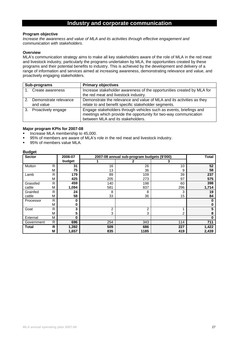### **Industry and corporate communication**

#### **Program objective**

*Increase the awareness and value of MLA and its activities through effective engagement and communication with stakeholders.* 

#### **Overview**

MLA's communication strategy aims to make all key stakeholders aware of the role of MLA in the red meat and livestock industry, particularly the programs undertaken by MLA, the opportunities created by these programs and their potential benefits to industry. This is achieved by the development and delivery of a range of information and services aimed at increasing awareness, demonstrating relevance and value, and proactively engaging stakeholders.

| Sub-programs                       | <b>Primary objectives</b>                                                                                                                                                   |  |  |  |
|------------------------------------|-----------------------------------------------------------------------------------------------------------------------------------------------------------------------------|--|--|--|
| Create awareness                   | Increase stakeholder awareness of the opportunities created by MLA for<br>the red meat and livestock industry.                                                              |  |  |  |
| Demonstrate relevance<br>and value | Demonstrate the relevance and value of MLA and its activities as they<br>relate to and benefit specific stakeholder segments.                                               |  |  |  |
| 3. Proactively engage              | Engage stakeholders through vehicles such as events, briefings and<br>meetings which provide the opportunity for two-way communication<br>between MLA and its stakeholders. |  |  |  |

#### **Major program KPIs for 2007-08**

- Increase MLA membership to 45,000.
- 95% of members are aware of MLA's role in the red meat and livestock industry.
- 95% of members value MLA.

| <b>Sector</b> |   | 2006-07 |     | 2007-08 annual sub-program budgets (\$'000) |     | <b>Total</b> |
|---------------|---|---------|-----|---------------------------------------------|-----|--------------|
|               |   | budget  |     |                                             | 3   |              |
| Mutton        | R | 31      | 16  | 26                                          | 10  | 52           |
|               | M | 75      | 13  | 36                                          | 9   | 58           |
| Lamb          | R | 179     | 89  | 109                                         | 39  | 237          |
|               | М | 425     | 205 | 273                                         | 97  | 575          |
| Grassfed      | R | 459     | 140 | 198                                         | 60  | 398          |
| cattle        | М | 1,094   | 581 | 837                                         | 296 | 1,714        |
| Grainfed      | R | 24      | 8   | 8                                           | 3   | 19           |
| cattle        | M | 58      | 33  | 36                                          | 15  | 84           |
| Processor     | R | 0       |     |                                             |     |              |
|               | M | 0       |     |                                             |     |              |
| Goat          | R | 3       | 2   | 2                                           |     |              |
|               | M | 5       | 3   | 3                                           | 2   |              |
| External      | M | 0       |     |                                             |     | O            |
| Government    | R | 696     | 254 | 343                                         | 114 | 711          |
| <b>Total</b>  | R | 1,392   | 509 | 686                                         | 227 | 1,422        |
|               | М | 1,657   | 835 | 1185                                        | 419 | 2,439        |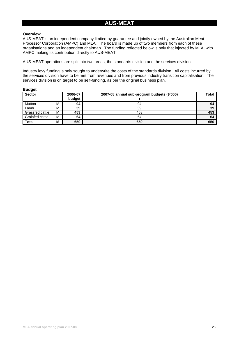### **AUS-MEAT**

#### **Overview**

AUS-MEAT is an independent company limited by guarantee and jointly owned by the Australian Meat Processor Corporation (AMPC) and MLA. The board is made up of two members from each of these organisations and an independent chairman. The funding reflected below is only that injected by MLA, with AMPC making its contribution directly to AUS-MEAT.

AUS-MEAT operations are split into two areas, the standards division and the services division.

Industry levy funding is only sought to underwrite the costs of the standards division. All costs incurred by the services division have to be met from revenues and from previous industry transition capitalisation. The services division is on target to be self-funding, as per the original business plan.

| <b>Budget</b>          |   |         |                                             |              |
|------------------------|---|---------|---------------------------------------------|--------------|
| Sector                 |   | 2006-07 | 2007-08 annual sub-program budgets (\$'000) | <b>Total</b> |
|                        |   | budget  |                                             |              |
| Mutton                 | M | 94      | 94                                          | 94           |
| Lamb                   | М | 39      | 39                                          | 39           |
| Grassfed cattle        | м | 453     | 453                                         | 453          |
| <b>Grainfed cattle</b> | M | 64      | 64                                          | 64           |
| <b>Total</b>           | М | 650     | 650                                         | 650          |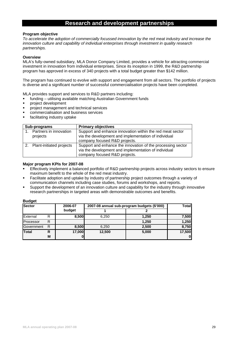### **Research and development partnerships**

#### **Program objective**

*To accelerate the adoption of commercially focussed innovation by the red meat industry and increase the innovation culture and capability of individual enterprises through investment in quality research partnerships.* 

#### **Overview**

MLA's fully-owned subsidiary, MLA Donor Company Limited, provides a vehicle for attracting commercial investment in innovation from individual enterprises. Since its inception in 1999, the R&D partnership program has approved in excess of 340 projects with a total budget greater than \$142 million.

The program has continued to evolve with support and engagement from all sectors. The portfolio of projects is diverse and a significant number of successful commercialisation projects have been completed.

MLA provides support and services to R&D partners including:

- funding utilising available matching Australian Government funds
- **project development**
- **PEDITE:** project management and technical services
- commercialisation and business services
- facilitating industry uptake

| Sub-programs                       | <b>Primary objectives</b>                                                                                                                            |
|------------------------------------|------------------------------------------------------------------------------------------------------------------------------------------------------|
| Partners in innovation<br>projects | Support and enhance innovation within the red meat sector<br>via the development and implementation of individual<br>company focused R&D projects.   |
| Plant-initiated projects           | Support and enhance the innovation of the processing sector<br>via the development and implementation of individual<br>company focused R&D projects. |

#### **Major program KPIs for 2007-08**

- Effectively implement a balanced portfolio of R&D partnership projects across industry sectors to ensure maximum benefit to the whole of the red meat industry.
- Facilitate adoption and uptake by industry of partnership project outcomes through a variety of communication channels including case studies, forums and workshops, and reports.
- Support the development of an innovation culture and capability for the industry through innovative research partnerships in targeted areas with demonstrable outcomes and benefits.

| <b>Sector</b> |   | 2006-07 | 2007-08 annual sub-program budgets (\$'000) | Total |              |  |  |
|---------------|---|---------|---------------------------------------------|-------|--------------|--|--|
|               |   | budget  |                                             |       |              |  |  |
| External      | R | 8,500   | 6.250                                       | 1,250 | 7,500        |  |  |
| Processor     | R |         |                                             | 1,250 | 1,250        |  |  |
| Government    | R | 8,500   | 6.250                                       | 2,500 | 8,750        |  |  |
| Total         | R | 17,000  | 12,500                                      | 5,000 | 17,500       |  |  |
|               | M | 0       |                                             |       | $\mathbf{0}$ |  |  |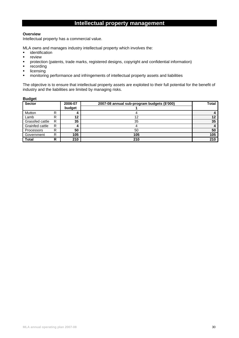### **Intellectual property management**

#### **Overview**

Intellectual property has a commercial value.

MLA owns and manages industry intellectual property which involves the:

- **·** identification
- **•** review
- protection (patents, trade marks, registered designs, copyright and confidential information)
- **•** recording
- **I** licensing
- **•** monitoring performance and infringements of intellectual property assets and liabilities

The objective is to ensure that intellectual property assets are exploited to their full potential for the benefit of industry and the liabilities are limited by managing risks.

| <b>Sector</b>   |   | 2006-07<br>budget | 2007-08 annual sub-program budgets (\$'000) | Total |
|-----------------|---|-------------------|---------------------------------------------|-------|
| Mutton          | R |                   |                                             |       |
| Lamb            | R | 12                | 12                                          |       |
| Grassfed cattle | R | 35                | 35                                          | 35    |
| Grainfed cattle | R |                   |                                             |       |
| Processors      | R | 50                | 50                                          | 50    |
| Government      | R | 105               | 105                                         | 105   |
| <b>Total</b>    | R | 210               | 210                                         | 210   |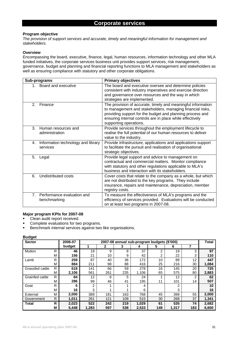#### **Program objective**

*The provision of support services and accurate, timely and meaningful information for management and stakeholders.* 

#### **Overview**

Encompassing the board, executive, finance, legal, human resources, information technology and other MLA funded initiatives, the corporate services business unit provides support services, risk management, governance, budget and planning and financial reporting functions to MLA management and stakeholders as well as ensuring compliance with statutory and other corporate obligations.

| Sub-programs                                                 | <b>Primary objectives</b>                                                                                                                                                                                                                                                     |
|--------------------------------------------------------------|-------------------------------------------------------------------------------------------------------------------------------------------------------------------------------------------------------------------------------------------------------------------------------|
| Board and executive<br>1.                                    | The board and executive oversee and determine policies<br>consistent with industry imperatives and exercise direction<br>and governance over resources and the way in which<br>strategies are implemented.                                                                    |
| 2.<br>Finance                                                | The provision of accurate, timely and meaningful information<br>to management and stakeholders, managing financial risks,<br>providing support for the budget and planning process and<br>ensuring internal controls are in place while effectively<br>supporting operations. |
| 3.<br>Human resources and<br>administration                  | Provide services throughout the employment lifecycle to<br>realise the full potential of our human resources to deliver<br>value to the industry.                                                                                                                             |
| Information technology and library<br>4.<br>services         | Provide infrastructure, applications and applications support<br>to facilitate the pursuit and realisation of organisational<br>strategic objectives.                                                                                                                         |
| 5.<br>Legal                                                  | Provide legal support and advice to management on<br>contractual and commercial matters. Monitor compliance<br>with statutory and other regulations applicable to MLA's<br>business and interaction with its stakeholders.                                                    |
| Undistributed costs<br>6.                                    | Cover costs that relate to the company as a whole, but which<br>are not distributed to the key programs. They include<br>insurance, repairs and maintenance, depreciation, member<br>registry costs.                                                                          |
| 7 <sub>1</sub><br>Performance evaluation and<br>benchmarking | To measure the effectiveness of MLA's programs and the<br>efficiency of services provided. Evaluations will be conducted<br>on at least two programs in 2007-08.                                                                                                              |

#### **Major program KPIs for 2007-08**

Clean audit report received.

- Complete evaluations for two programs.
- **Benchmark internal services against two like organisations.**

| <b>Sector</b>   |   | 2006-07 |                |     | 2007-08 annual sub-program budgets (\$'000) |       |                |       |                | Total |
|-----------------|---|---------|----------------|-----|---------------------------------------------|-------|----------------|-------|----------------|-------|
|                 |   | budget  |                | 2   | 3                                           |       | 5              | 6     | 7              |       |
| Mutton          | R | 46      | 19             | 9   | 8                                           | 37    | $\mathfrak{p}$ | 19    | 3              | 97    |
|                 | M | 156     | 21             | 10  | 9                                           | 42    | 2              | 22    | 3              | 110   |
| Lamb            | R | 259     | 87             | 40  | 36                                          | 172   | 10             | 89    | 12             | 447   |
|                 | M | 884     | 211            | 98  | 88                                          | 416   | 25             | 216   | 30             | 1,084 |
| Grassfed cattle | R | 618     | 141            | 66  | 59                                          | 278   | 16             | 145   | 20             | 725   |
|                 | M | 2,106   | 561            | 261 | 235                                         | 1,106 | 65             | 575   | 80             | 2,883 |
| Grainfed cattle | R | 84      | 12             | 6   | 5                                           | 24    |                | 12    | $\overline{2}$ | 62    |
|                 | M | 286     | 99             | 46  | 41                                          | 195   | 11             | 101   | 14             | 507   |
| Goat            | R | 5       | $\mathfrak{p}$ |     |                                             | 4     |                | 2     |                | 10    |
|                 | M | 16      | 3              |     |                                             | 6     |                | 3     |                | 16    |
| External        | M | 2,000   | 389            | 181 | 163                                         | 768   | 45             | 399   | 55             | 2,000 |
| Government      | R | 1,011   | 261            | 121 | 109                                         | 515   | 30             | 268   | 37             | 1,341 |
| <b>Total</b>    | R | 2,023   | 522            | 242 | 219                                         | 1,029 | 61             | 535   | 74             | 2,682 |
|                 | M | 5,448   | 1,283          | 597 | 538                                         | 2,533 | 149            | 1,317 | 183            | 6,600 |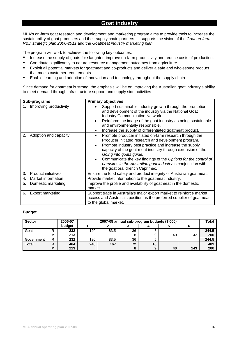### **Goat industry**

MLA's on-farm goat research and development and marketing program aims to provide tools to increase the sustainability of goat producers and their supply chain partners. It supports the vision of the *Goat on-farm R&D strategic plan 2006-2011* and the *Goatmeat industry marketing plan*.

The program will work to achieve the following key outcomes:

- **Increase the supply of goats for slaughter, improve on-farm productivity and reduce costs of production.**
- **Contribute significantly to natural resource management outcomes from agriculture.**
- Exploit all potential markets for goatmeat and co-products and deliver a safe and wholesome product that meets customer requirements.
- **Enable learning and adoption of innovation and technology throughout the supply chain.**

Since demand for goatmeat is strong, the emphasis will be on improving the Australian goat industry's ability to meet demand through infrastructure support and supply side activities.

| Sub-programs   |                            | <b>Primary objectives</b>                                                                                                                                                                                                                                                                                                                                                                                                                             |
|----------------|----------------------------|-------------------------------------------------------------------------------------------------------------------------------------------------------------------------------------------------------------------------------------------------------------------------------------------------------------------------------------------------------------------------------------------------------------------------------------------------------|
| 1.             | Improving productivity     | Support sustainable industry growth through the promotion<br>and development of the industry via the National Goat<br><b>Industry Communication Network.</b><br>Reinforce the image of the goat industry as being sustainable<br>and environmentally responsible.<br>Increase the supply of differentiated goatmeat product.                                                                                                                          |
| 2.             | Adoption and capacity      | Promote producer initiated on-farm research through the<br>$\bullet$<br>Producer initiated research and development program.<br>Promote industry best practice and increase the supply<br>capacity of the goat meat industry through extension of the<br>Going into goats guide.<br>Communicate the key findings of the Options for the control of<br>parasites in the Australian goat industry in conjunction with<br>the goat oral drench Caprimec. |
| 3 <sub>1</sub> | <b>Product initiatives</b> | Ensure the food safety and product integrity of Australian goatmeat.                                                                                                                                                                                                                                                                                                                                                                                  |
| 4.             | Market information         | Provide market information to the goatmeat industry.                                                                                                                                                                                                                                                                                                                                                                                                  |
| 5.             | Domestic marketing         | Improve the profile and availability of goatmeat in the domestic<br>market.                                                                                                                                                                                                                                                                                                                                                                           |
| 6.             | Export marketing           | Support trade in Australia's major export market to reinforce market<br>access and Australia's position as the preferred supplier of goatmeat<br>to the global market.                                                                                                                                                                                                                                                                                |

| <b>Sector</b> |   | 2006-07 | 2007-08 annual sub-program budgets (\$'000) |      |    |    |    |     |       |  |  |  |  |  |  |  |
|---------------|---|---------|---------------------------------------------|------|----|----|----|-----|-------|--|--|--|--|--|--|--|
|               |   | budget  |                                             |      |    |    |    |     |       |  |  |  |  |  |  |  |
| Goat          | R | 232     | 120                                         | 83.5 | 36 |    |    |     | 244.5 |  |  |  |  |  |  |  |
|               | М | 213     |                                             |      |    |    | 40 | 143 | 200   |  |  |  |  |  |  |  |
| Government    | R | 232     | 120                                         | 83.5 | 36 |    |    |     | 244.5 |  |  |  |  |  |  |  |
| <b>Total</b>  | R | 464     | 240                                         | 167  | 72 | 10 |    |     | 489   |  |  |  |  |  |  |  |
|               | M | 213     |                                             |      |    |    | 40 | 143 | 200   |  |  |  |  |  |  |  |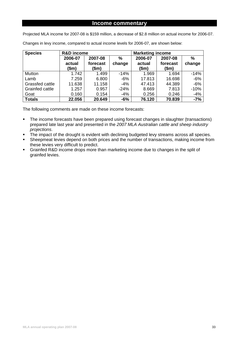#### **Income commentary**

Projected MLA income for 2007-08 is \$159 million, a decrease of \$2.8 million on actual income for 2006-07.

| <b>Species</b>  | <b>R&amp;D</b> income |          |        | <b>Marketing income</b> |          |               |  |  |  |  |  |  |
|-----------------|-----------------------|----------|--------|-------------------------|----------|---------------|--|--|--|--|--|--|
|                 | 2006-07               | 2007-08  | %      | 2006-07                 | 2007-08  | $\frac{0}{0}$ |  |  |  |  |  |  |
|                 | actual                | forecast | change | actual                  | forecast | change        |  |  |  |  |  |  |
|                 | (\$m)                 | \$m\$    |        | (\$m)                   | \$m\$    |               |  |  |  |  |  |  |
| Mutton          | 1.742                 | 1.499    | $-14%$ | 1.969                   | 1.694    | $-14%$        |  |  |  |  |  |  |
| Lamb            | 7.259                 | 6.800    | $-6%$  | 17.813                  | 16.698   | $-6%$         |  |  |  |  |  |  |
| Grassfed cattle | 11.638                | 11.158   | $-4%$  | 47.413                  | 44.389   | $-6%$         |  |  |  |  |  |  |
| Grainfed cattle | 1.257                 | 0.957    | $-24%$ | 8.669                   | 7.813    | $-10%$        |  |  |  |  |  |  |
| Goat            | 0.160                 | 0.154    | $-4%$  | 0.256                   | 0.246    | $-4%$         |  |  |  |  |  |  |
| <b>Totals</b>   | 22.056                | 20.649   | $-6%$  | 76.120                  | 70.839   | $-7%$         |  |  |  |  |  |  |

Changes in levy income, compared to actual income levels for 2006-07, are shown below:

The following comments are made on these income forecasts:

- The income forecasts have been prepared using forecast changes in slaughter (transactions) prepared late last year and presented in the *2007 MLA Australian cattle and sheep industry projections*.
- The impact of the drought is evident with declining budgeted levy streams across all species.
- Sheepmeat levies depend on both prices and the number of transactions, making income from these levies very difficult to predict.
- Grainfed R&D income drops more than marketing income due to changes in the split of grainfed levies.